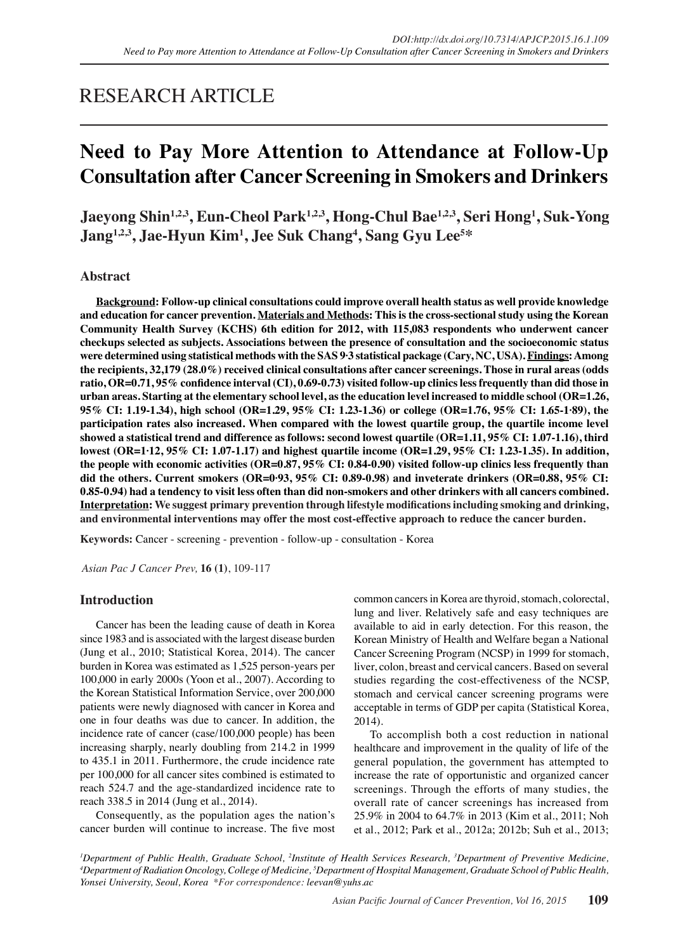# RESEARCH ARTICLE

# **Need to Pay More Attention to Attendance at Follow-Up Consultation after Cancer Screening in Smokers and Drinkers**

**Jaeyong Shin1,2,3, Eun-Cheol Park1,2,3, Hong-Chul Bae1,2,3, Seri Hong1 , Suk-Yong Jang1,2,3, Jae-Hyun Kim1 , Jee Suk Chang4 , Sang Gyu Lee5 \***

## **Abstract**

**Background: Follow-up clinical consultations could improve overall health status as well provide knowledge and education for cancer prevention. Materials and Methods: This is the cross-sectional study using the Korean Community Health Survey (KCHS) 6th edition for 2012, with 115,083 respondents who underwent cancer checkups selected as subjects. Associations between the presence of consultation and the socioeconomic status were determined using statistical methods with the SAS 9·3 statistical package (Cary, NC, USA). Findings: Among the recipients, 32,179 (28.0%) received clinical consultations after cancer screenings. Those in rural areas (odds ratio, OR=0.71, 95% confidence interval (CI), 0.69-0.73) visited follow-up clinics less frequently than did those in urban areas. Starting at the elementary school level, as the education level increased to middle school (OR=1.26, 95% CI: 1.19-1.34), high school (OR=1.29, 95% CI: 1.23-1.36) or college (OR=1.76, 95% CI: 1.65-1·89), the participation rates also increased. When compared with the lowest quartile group, the quartile income level showed a statistical trend and difference as follows: second lowest quartile (OR=1.11, 95% CI: 1.07-1.16), third lowest (OR=1·12, 95% CI: 1.07-1.17) and highest quartile income (OR=1.29, 95% CI: 1.23-1.35). In addition, the people with economic activities (OR=0.87, 95% CI: 0.84-0.90) visited follow-up clinics less frequently than did the others. Current smokers (OR=0·93, 95% CI: 0.89-0.98) and inveterate drinkers (OR=0.88, 95% CI: 0.85-0.94) had a tendency to visit less often than did non-smokers and other drinkers with all cancers combined. Interpretation: We suggest primary prevention through lifestyle modifications including smoking and drinking, and environmental interventions may offer the most cost-effective approach to reduce the cancer burden.**

**Keywords:** Cancer - screening - prevention - follow-up - consultation - Korea

*Asian Pac J Cancer Prev,* **16 (1)**, 109-117

## **Introduction**

Cancer has been the leading cause of death in Korea since 1983 and is associated with the largest disease burden (Jung et al., 2010; Statistical Korea, 2014). The cancer burden in Korea was estimated as 1,525 person-years per 100,000 in early 2000s (Yoon et al., 2007). According to the Korean Statistical Information Service, over 200,000 patients were newly diagnosed with cancer in Korea and one in four deaths was due to cancer. In addition, the incidence rate of cancer (case/100,000 people) has been increasing sharply, nearly doubling from 214.2 in 1999 to 435.1 in 2011. Furthermore, the crude incidence rate per 100,000 for all cancer sites combined is estimated to reach 524.7 and the age-standardized incidence rate to reach 338.5 in 2014 (Jung et al., 2014).

Consequently, as the population ages the nation's cancer burden will continue to increase. The five most common cancers in Korea are thyroid, stomach, colorectal, lung and liver. Relatively safe and easy techniques are available to aid in early detection. For this reason, the Korean Ministry of Health and Welfare began a National Cancer Screening Program (NCSP) in 1999 for stomach, liver, colon, breast and cervical cancers. Based on several studies regarding the cost-effectiveness of the NCSP, stomach and cervical cancer screening programs were acceptable in terms of GDP per capita (Statistical Korea, 2014).

To accomplish both a cost reduction in national healthcare and improvement in the quality of life of the general population, the government has attempted to increase the rate of opportunistic and organized cancer screenings. Through the efforts of many studies, the overall rate of cancer screenings has increased from 25.9% in 2004 to 64.7% in 2013 (Kim et al., 2011; Noh et al., 2012; Park et al., 2012a; 2012b; Suh et al., 2013;

*<sup>1</sup>Department of Public Health, Graduate School, <sup>2</sup>Institute of Health Services Research, <sup>3</sup>Department of Preventive Medicine,<br><sup>4</sup>Department of Radiation Oncology College of Medicine <sup>5</sup>Department of Hospital Management Department of Radiation Oncology, College of Medicine, 5 Department of Hospital Management, Graduate School of Public Health, Yonsei University, Seoul, Korea \*For correspondence: leevan@yuhs.ac*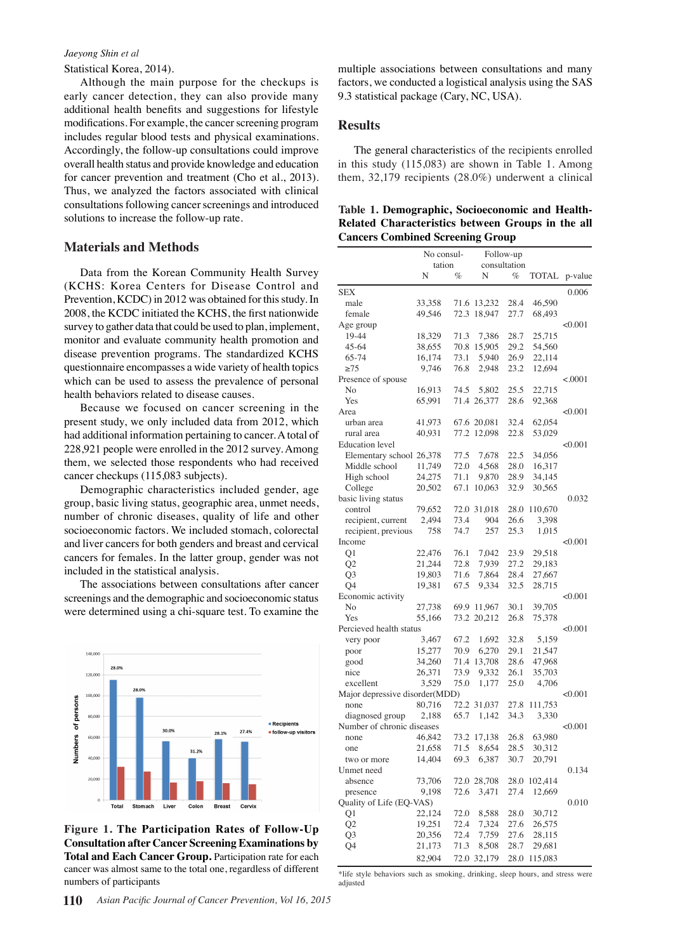#### *Jaeyong Shin et al*

Statistical Korea, 2014).

Although the main purpose for the checkups is early cancer detection, they can also provide many additional health benefits and suggestions for lifestyle modifications. For example, the cancer screening program includes regular blood tests and physical examinations. Accordingly, the follow-up consultations could improve overall health status and provide knowledge and education for cancer prevention and treatment (Cho et al., 2013). Thus, we analyzed the factors associated with clinical consultations following cancer screenings and introduced solutions to increase the follow-up rate.

#### **Materials and Methods**

Data from the Korean Community Health Survey (KCHS: Korea Centers for Disease Control and Prevention, KCDC) in 2012 was obtained for this study. In 2008, the KCDC initiated the KCHS, the first nationwide survey to gather data that could be used to plan, implement, monitor and evaluate community health promotion and disease prevention programs. The standardized KCHS questionnaire encompasses a wide variety of health topics which can be used to assess the prevalence of personal health behaviors related to disease causes.

Because we focused on cancer screening in the present study, we only included data from 2012, which had additional information pertaining to cancer. A total of 228,921 people were enrolled in the 2012 survey. Among them, we selected those respondents who had received cancer checkups (115,083 subjects).

Demographic characteristics included gender, age group, basic living status, geographic area, unmet needs, number of chronic diseases, quality of life and other socioeconomic factors. We included stomach, colorectal and liver cancers for both genders and breast and cervical cancers for females. In the latter group, gender was not included in the statistical analysis.

The associations between consultations after cancer screenings and the demographic and socioeconomic status were determined using a chi-square test. To examine the



**Figure 1. The Participation Rates of Follow-Up Consultation after Cancer Screening Examinations by Total and Each Cancer Group. Participation rate for each** cancer was almost same to the total one, regardless of different numbers of participants

multiple associations between consultations and many factors, we conducted a logistical analysis using the SAS 9.3 statistical package (Cary, NC, USA).

### **Results**

The general characteristics of the recipients enrolled in this study (115,083) are shown in Table 1. Among them, 32,179 recipients (28.0%) underwent a clinical

| Table 1. Demographic, Socioeconomic and Health-   |  |  |  |
|---------------------------------------------------|--|--|--|
| Related Characteristics between Groups in the all |  |  |  |
| <b>Cancers Combined Screening Group</b>           |  |  |  |

|                                           |                  | No consul-     |                 | Follow-up         |                  |              |
|-------------------------------------------|------------------|----------------|-----------------|-------------------|------------------|--------------|
|                                           | N                | tation<br>$\%$ | N               | consultation<br>% |                  |              |
|                                           |                  |                |                 |                   | TOTAL            | p-value      |
| SEX                                       |                  |                |                 |                   |                  | 0.006        |
| male                                      | 33,358           |                | 71.6 13,232     | 28.4              | 46,590           |              |
| female                                    | 49,546           |                | 72.3 18,947     | 27.7              | 68,493           |              |
| Age group                                 |                  |                |                 |                   |                  | < 0.001      |
| 19-44                                     | 18,329           | 71.3           | 7,386           | 28.7              | 25,715           |              |
| 45-64                                     | 38,655           |                | 70.8 15,905     | 29.2              | 54,560           | 100.0        |
| 65-74                                     | 16,174           | 73.1           | 5,940           | 26.9              | 22,114           |              |
| $\geq$ 75                                 | 9,746            | 76.8           | 2,948           | 23.2              | 12,694           |              |
| Presence of spouse                        |                  |                |                 |                   |                  | < .0001      |
| No                                        | 16,913           | 74.5           | 5,802           | 25.5              | 22,715           | 75.0         |
| Yes                                       | 65,991           |                | 71.4 26,377     | 28.6              | 92,368           |              |
| Area                                      |                  |                |                 |                   |                  | < 0.001      |
| urban area                                | 41,973           |                | 67.6 20,081     | 32.4              | 62,054           |              |
| rural area                                | 40,931           |                | 77.2 12,098     | 22.8              | 53,029           | 50.0         |
| <b>Education</b> level                    |                  | 77.5           |                 | 22.5              | 34,056           | < 0.001      |
| Elementary school 26,378<br>Middle school |                  |                | 7,678           |                   |                  |              |
|                                           | 11,749           | 72.0           | 4,568           | 28.0<br>28.9      | 16,317           |              |
| High school                               | 24,275<br>20,502 | 71.1<br>67.1   | 9,870<br>10,063 | 32.9              | 34,145<br>30,565 | 25.0         |
| College<br>basic living status            |                  |                |                 |                   |                  | 0.032        |
| control                                   | 79,652           |                | 72.0 31,018     |                   | 28.0 110,670     |              |
| recipient, current                        | 2,494            | 73.4           | 904             | 26.6              | 3,398            |              |
| recipient, previous                       | 758              | 74.7           | 257             | 25.3              | 1,015            |              |
| Income                                    |                  |                |                 |                   |                  | 0<br>< 0.001 |
| Q1                                        | 22,476           | 76.1           | 7,042           | 23.9              | 29,518           |              |
| Q2                                        | 21,244           | 72.8           | 7,939           | 27.2              | 29,183           |              |
| Q <sub>3</sub>                            | 19,803           | 71.6           | 7,864           | 28.4              | 27,667           |              |
| Q4                                        | 19,381           | 67.5           | 9,334           | 32.5              | 28,715           |              |
| Economic activity                         |                  |                |                 |                   |                  | < 0.001      |
| No                                        | 27,738           |                | 69.9 11,967     | 30.1              | 39,705           |              |
| Yes                                       | 55,166           |                | 73.2 20,212     | 26.8              | 75,378           |              |
| Percieved health status                   |                  |                |                 |                   |                  | < 0.001      |
| very poor                                 | 3,467            | 67.2           | 1,692           | 32.8              | 5,159            |              |
| poor                                      | 15,277           | 70.9           | 6,270           | 29.1              | 21,547           |              |
| good                                      | 34,260           |                | 71.4 13,708     | 28.6              | 47,968           |              |
| nice                                      | 26,371           | 73.9           | 9,332           | 26.1              | 35,703           |              |
| excellent                                 | 3,529            | 75.0           | 1,177           | 25.0              | 4,706            |              |
| Major depressive disorder(MDD)            |                  |                |                 |                   |                  | < 0.001      |
| none                                      | 80,716           |                | 72.2 31,037     | 27.8              | 111,753          |              |
| diagnosed group                           | 2,188            | 65.7           | 1,142           | 34.3              | 3,330            |              |
| Number of chronic diseases                |                  |                |                 |                   |                  | < 0.001      |
| none                                      | 46,842           |                | 73.2 17,138     | 26.8              | 63,980           |              |
| one                                       | 21,658           | 71.5           | 8,654           | 28.5              | 30,312           |              |
| two or more                               | 14,404           | 69.3           | 6,387           | 30.7              | 20,791           |              |
| Unmet need                                |                  |                |                 |                   |                  | 0.134        |
| absence                                   | 73,706           |                | 72.0 28,708     | 28.0              | 102,414          |              |
| presence                                  | 9,198            | 72.6           | 3,471           | 27.4              | 12,669           |              |
| Quality of Life (EQ-VAS)                  |                  |                |                 |                   |                  | 0.010        |
| Q1                                        | 22,124           | 72.0           | 8,588           | 28.0              | 30,712           |              |
| Q2                                        | 19,251           | 72.4           | 7,324           | 27.6              | 26,575           |              |
| Q <sub>3</sub>                            | 20,356           | 72.4           | 7,759           | 27.6              | 28,115           |              |
| Q4                                        | 21,173           | 71.3           | 8,508           | 28.7              | 29,681           |              |
|                                           | 82,904           |                | 72.0 32,179     | 28.0              | 115,083          |              |

\*life style behaviors such as smoking, drinking, sleep hours, and stress were adjusted

**38.0 31.3**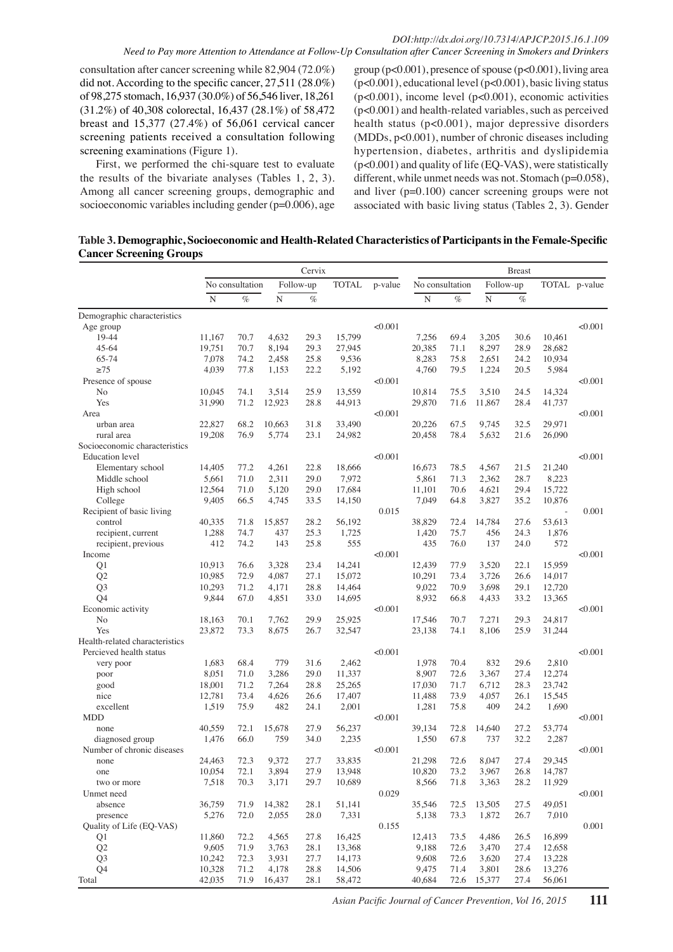#### *DOI:http://dx.doi.org/10.7314/APJCP.2015.16.1.109 Need to Pay more Attention to Attendance at Follow-Up Consultation after Cancer Screening in Smokers and Drinkers*

consultation after cancer screening while 82,904 (72.0%) did not. According to the specific cancer, 27,511 (28.0%) of 98,275 stomach, 16,937 (30.0%) of 56,546 liver, 18,261 (31.2%) of 40,308 colorectal, 16,437 (28.1%) of 58,472 breast and 15,377 (27.4%) of 56,061 cervical cancer screening patients received a consultation following screening examinations (Figure 1).

First, we performed the chi-square test to evaluate the results of the bivariate analyses (Tables 1, 2, 3). Among all cancer screening groups, demographic and socioeconomic variables including gender (p=0.006), age

group (p<0.001), presence of spouse (p<0.001), living area (p<0.001), educational level (p<0.001), basic living status  $(p<0.001)$ , income level  $(p<0.001)$ , economic activities (p<0.001) and health-related variables, such as perceived health status (p<0.001), major depressive disorders (MDDs, p<0.001), number of chronic diseases including hypertension, diabetes, arthritis and dyslipidemia (p<0.001) and quality of life (EQ-VAS), were statistically different, while unmet needs was not. Stomach (p=0.058), and liver (p=0.100) cancer screening groups were not associated with basic living status (Tables 2, 3). Gender

**Table 3. Demographic, Socioeconomic and Health-Related Characteristics of Participants in the Female-Specific Cancer Screening Groups**

|                                    |                 |                 |                | Cervix       |                 |         |                 |                 |                    | <b>Breast</b> |                  |               |
|------------------------------------|-----------------|-----------------|----------------|--------------|-----------------|---------|-----------------|-----------------|--------------------|---------------|------------------|---------------|
|                                    |                 | No consultation |                | Follow-up    | <b>TOTAL</b>    | p-value |                 | No consultation | Follow-up          |               |                  | TOTAL p-value |
|                                    | $\overline{N}$  | $\%$            | $\overline{N}$ | $\%$         |                 |         | $\mathbf N$     | $\%$            | $\overline{\rm N}$ | $\%$          |                  |               |
| Demographic characteristics        |                 |                 |                |              |                 |         |                 |                 |                    |               |                  |               |
| Age group                          |                 |                 |                |              |                 | < 0.001 |                 |                 |                    |               |                  | < 0.001       |
| 19-44                              | 11,167          | 70.7            | 4,632          | 29.3         | 15,799          |         | 7,256           | 69.4            | 3,205              | 30.6          | 10,461           |               |
| $45 - 64$                          | 19.751          | 70.7            | 8,194          | 29.3         | 27,945          |         | 20,385          | 71.1            | 8,297              | 28.9          | 28,682           |               |
| 65-74                              | 7,078           | 74.2            | 2,458          | 25.8         | 9,536           |         | 8,283           | 75.8            | 2,651              | 24.2          | 10,934           |               |
| $\geq$ 75                          | 4,039           | 77.8            | 1,153          | 22.2         | 5,192           |         | 4,760           | 79.5            | 1,224              | 20.5          | 5,984            |               |
| Presence of spouse                 |                 |                 |                |              |                 | < 0.001 |                 |                 |                    |               |                  | < 0.001       |
| No                                 | 10,045          | 74.1            | 3,514          | 25.9         | 13,559          |         | 10,814          | 75.5            | 3,510              | 24.5          | 14,324           |               |
| Yes                                | 31,990          | 71.2            | 12,923         | 28.8         | 44,913          |         | 29,870          | 71.6            | 11,867             | 28.4          | 41,737           |               |
| Area                               |                 |                 |                |              |                 | < 0.001 |                 |                 |                    |               |                  | < 0.001       |
| urban area                         | 22,827          | 68.2            | 10,663         | 31.8         | 33,490          |         | 20,226          | 67.5            | 9,745              | 32.5          | 29,971           |               |
| rural area                         | 19,208          | 76.9            | 5,774          | 23.1         | 24,982          |         | 20,458          | 78.4            | 5,632              | 21.6          | 26,090           |               |
| Socioeconomic characteristics      |                 |                 |                |              |                 |         |                 |                 |                    |               |                  |               |
| <b>Education</b> level             |                 |                 |                |              |                 | < 0.001 |                 |                 |                    |               |                  | < 0.001       |
|                                    | 14,405          | 77.2            | 4,261          | 22.8         | 18,666          |         | 16,673          | 78.5            | 4,567              | 21.5          | 21,240           |               |
| Elementary school<br>Middle school | 5,661           | 71.0            | 2,311          | 29.0         | 7,972           |         | 5,861           | 71.3            | 2,362              | 28.7          | 8,223            |               |
| High school                        | 12,564          | 71.0            | 5,120          | 29.0         | 17,684          |         | 11,101          | 70.6            | 4,621              | 29.4          | 15,722           |               |
| College                            | 9,405           | 66.5            | 4,745          | 33.5         | 14,150          |         | 7,049           | 64.8            | 3.827              | 35.2          | 10,876           |               |
| Recipient of basic living          |                 |                 |                |              |                 | 0.015   |                 |                 |                    |               | $\sim$           | 0.001         |
| control                            | 40,335          | 71.8            | 15,857         | 28.2         | 56,192          |         | 38,829          | 72.4            | 14,784             | 27.6          | 53,613           |               |
|                                    |                 | 74.7            | 437            | 25.3         |                 |         |                 | 75.7            | 456                | 24.3          | 1.876            |               |
| recipient, current                 | 1,288<br>412    | 74.2            | 143            | 25.8         | 1,725<br>555    |         | 1,420<br>435    | 76.0            | 137                | 24.0          | 572              |               |
| recipient, previous<br>Income      |                 |                 |                |              |                 | < 0.001 |                 |                 |                    |               |                  | < 0.001       |
| Q1                                 | 10,913          | 76.6            | 3,328          | 23.4         | 14,241          |         | 12.439          | 77.9            | 3,520              | 22.1          | 15,959           |               |
| Q <sub>2</sub>                     | 10,985          | 72.9            | 4,087          | 27.1         | 15,072          |         | 10,291          | 73.4            | 3,726              | 26.6          | 14,017           |               |
| Q <sub>3</sub>                     | 10,293          | 71.2            | 4,171          | 28.8         | 14,464          |         | 9,022           | 70.9            | 3,698              | 29.1          | 12,720           |               |
| Q4                                 | 9,844           | 67.0            | 4,851          | 33.0         | 14,695          |         | 8,932           | 66.8            | 4,433              | 33.2          | 13,365           |               |
| Economic activity                  |                 |                 |                |              |                 | < 0.001 |                 |                 |                    |               |                  | < 0.001       |
| No                                 | 18,163          | 70.1            | 7,762          | 29.9         | 25,925          |         | 17,546          | 70.7            | 7,271              | 29.3          | 24,817           |               |
| Yes                                | 23,872          | 73.3            | 8,675          | 26.7         | 32,547          |         | 23,138          | 74.1            | 8,106              | 25.9          | 31,244           |               |
| Health-related characteristics     |                 |                 |                |              |                 |         |                 |                 |                    |               |                  |               |
| Percieved health status            |                 |                 |                |              |                 | < 0.001 |                 |                 |                    |               |                  | < 0.001       |
|                                    | 1,683           | 68.4            | 779            | 31.6         | 2,462           |         | 1,978           | 70.4            | 832                | 29.6          | 2,810            |               |
| very poor                          |                 | 71.0            | 3,286          | 29.0         | 11,337          |         | 8,907           | 72.6            | 3,367              | 27.4          | 12,274           |               |
| poor                               | 8,051<br>18,001 | 71.2            | 7,264          | 28.8         | 25,265          |         | 17,030          | 71.7            | 6,712              | 28.3          | 23,742           |               |
| good<br>nice                       |                 | 73.4            |                | 26.6         |                 |         |                 | 73.9            |                    | 26.1          |                  |               |
| excellent                          | 12,781<br>1,519 | 75.9            | 4,626<br>482   | 24.1         | 17,407<br>2,001 |         | 11,488<br>1,281 | 75.8            | 4,057<br>409       | 24.2          | 15,545<br>1,690  |               |
| <b>MDD</b>                         |                 |                 |                |              |                 | < 0.001 |                 |                 |                    |               |                  | < 0.001       |
|                                    | 40.559          | 72.1            | 15,678         | 27.9         | 56,237          |         | 39,134          | 72.8            | 14,640             | 27.2          | 53,774           |               |
| none<br>diagnosed group            | 1,476           | 66.0            | 759            | 34.0         | 2,235           |         | 1,550           | 67.8            | 737                | 32.2          | 2,287            |               |
| Number of chronic diseases         |                 |                 |                |              |                 | < 0.001 |                 |                 |                    |               |                  | < 0.001       |
| none                               | 24,463          | 72.3            | 9,372          | 27.7         | 33,835          |         | 21,298          | 72.6            | 8,047              | 27.4          | 29,345           |               |
|                                    | 10,054          | 72.1            | 3,894          | 27.9         | 13,948          |         | 10,820          | 73.2            | 3.967              | 26.8          | 14,787           |               |
| one                                |                 |                 |                |              | 10,689          |         | 8,566           |                 |                    | 28.2          |                  |               |
| two or more<br>Unmet need          | 7,518           | 70.3            | 3,171          | 29.7         |                 | 0.029   |                 | 71.8            | 3,363              |               | 11,929           | < 0.001       |
|                                    | 36,759          |                 | 14,382         |              |                 |         |                 |                 | 13,505             |               |                  |               |
| absence                            |                 | 71.9            |                | 28.1         | 51,141          |         | 35,546          | 72.5            |                    | 27.5          | 49,051           |               |
| presence                           | 5,276           | 72.0            | 2,055          | 28.0         | 7,331           |         | 5,138           | 73.3            | 1,872              | 26.7          | 7,010            | 0.001         |
| Quality of Life (EQ-VAS)           |                 |                 |                |              |                 | 0.155   |                 |                 |                    |               | 16.899           |               |
| Q1                                 | 11,860          | 72.2<br>71.9    | 4,565          | 27.8         | 16,425          |         | 12,413          | 73.5<br>72.6    | 4,486              | 26.5<br>27.4  |                  |               |
| Q <sub>2</sub>                     | 9,605           |                 | 3,763          | 28.1         | 13,368          |         | 9,188           |                 | 3,470              |               | 12,658           |               |
| Q <sub>3</sub>                     | 10,242          | 72.3            | 3,931          | 27.7         | 14,173          |         | 9,608           | 72.6            | 3,620              | 27.4          | 13,228           |               |
| Q <sub>4</sub><br>Total            | 10,328          | 71.2<br>71.9    | 4,178          | 28.8<br>28.1 | 14,506          |         | 9,475           | 71.4            | 3,801<br>15,377    | 28.6          | 13,276<br>56,061 |               |
|                                    | 42,035          |                 | 16,437         |              | 58,472          |         | 40,684          | 72.6            |                    | 27.4          |                  |               |

*Asian Pacific Journal of Cancer Prevention, Vol 16, 2015* **111**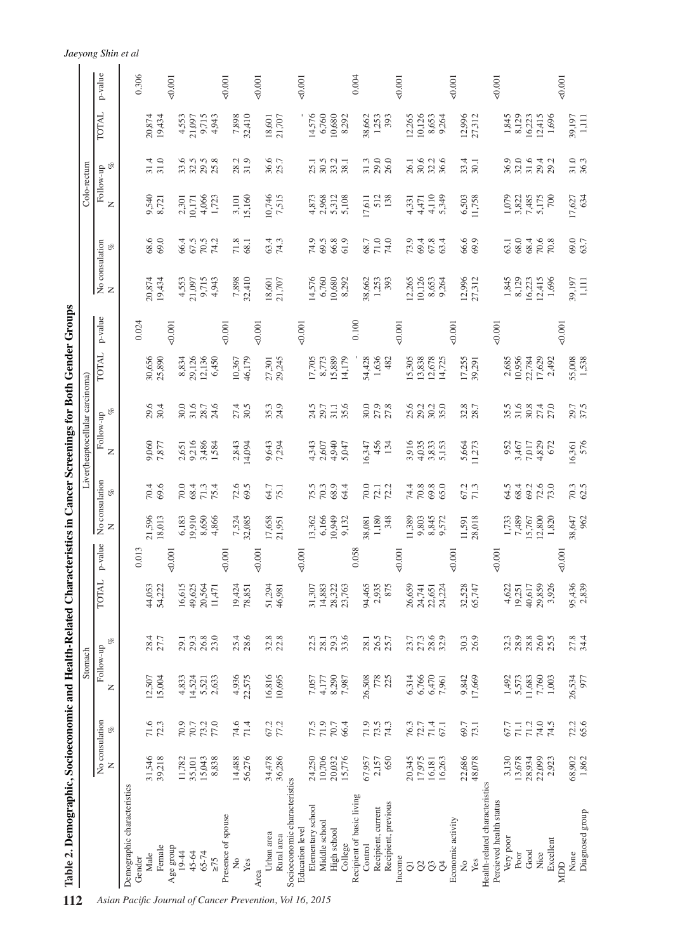| 12.8<br>51.1<br>33.1<br>Chemotherapy<br>Jaeyong Shin et al<br>30.0<br>30.0<br>30.0<br><b>auon</b><br>p-value<br>0.306<br>$-0.001$<br>$-0.001$<br>$-0.001$<br>$-0.001$<br>0.001<br>$-0.001$<br>0.004<br>$-0.001$<br>$-0.001$<br>TOTAL<br>7,898<br>14,576<br>6,760<br>10,680<br>12,265<br>10,126<br>12,996<br>20,874<br>9,715<br>32,410<br>38,662<br>1,253<br>8,653<br>27,312<br>1,845<br>8,129<br>16,223<br>12,415<br>1,696<br>39,197<br>4,553<br>4,943<br>18,601<br>21,707<br>8,292<br>393<br>1,111<br>19,434<br>21,097<br>9,264<br>125.0<br>31.3<br>131.3<br>$\frac{1}{2}$ $\frac{1}{2}$ $\frac{1}{2}$ $\frac{1}{2}$ $\frac{1}{2}$ $\frac{1}{2}$ $\frac{1}{2}$ $\frac{1}{2}$ $\frac{1}{2}$ $\frac{1}{2}$<br>36.6<br>31.0<br>31.0<br>33.6<br>29.5<br>25.8<br>36.9<br>32.0<br>31.6<br>36.3<br>31.4<br>32.5<br>8.2<br>5.7<br>33.4<br>29.4<br>0.5<br>0.6<br>29.2<br>$\overline{160}$<br>30.1<br>5.1<br>8.1<br>o<br>Follow-up<br>20.3<br>54.2<br>79.7<br>9,540<br>0,746<br>7,515<br>2,968<br>1,079<br>5,160<br>4,873<br>5,312<br>17,627<br>634<br>4,066<br>1,723<br>5.108<br>13 <sub>8</sub><br><b>eanaisianeq<br/>eanaisianeq</b><br>3,822<br>7,485<br>5,175<br>8,721<br>3,101<br><b>ੀ</b> <i>ਤੋਂ ਤੋਂ ਲੋ</i> ਂ<br>ਅੱਲ੍ਹੀ ਦੇ ਲੋਂ<br>ਭਾਈ ਦੇ ਸ਼ਿਆ<br>700<br>2,301<br>10,171<br>Z<br>69.0<br>68.6<br>69.0<br>70.5<br>74.9<br>63.7<br>66.4<br>67.5<br><b>SSA</b><br>61.9<br>71.0<br>740<br>71.8<br>69.5<br>66.8<br>38.0<br>No consulation $$\%$ N<br>74.2<br>10.1<br>68.1<br>68.7<br>70.6<br>70.8<br><b><i>h</i>iemes a 100 milw bezongsle viweld</b><br>ကို မွ လို ထို တို့ မွ မွ မွ မွ မွ မွ မွ မွ<br>အို မွ မွ လို ထို မွ မွ မွ မွ မွ မွ မွ မွ မွ မွ<br>20,874<br>39,197<br>1,111<br>19,434<br>4,553<br>9,715<br>1,696<br>21,097<br>14,576<br>32,410<br>$\frac{494}{63}$<br>6,760<br>7,898<br>18,601<br>56,307<br>30 <sub>o</sub><br>3,3,36<br>10,68<br>8,29<br>1,25<br>p-value<br>0.100<br>0.024<br>$-0.001$<br>50.001<br>$\frac{0}{50001}$<br>$-0.001$<br>$-0.001$<br>$-0.001$<br>0.001<br>$^{46,17}$ 75.0<br>$^{20,001}$<br>12,1100.0<br>14,1725.0<br><b>TOTAL</b><br>6,450<br>15,889<br>30,656<br>29,126<br>29,245<br>8,773<br>54,428<br>1,636<br>482<br>17,255<br>55,008<br>8,834<br>10,367<br>17,705<br>15,305<br>2,685<br>10,956<br>22,784<br>1,538<br>25,890<br>13,838<br>12,678<br>17,629<br>27,301<br>2,492<br>14,725<br>39,291<br>31.6<br>37.5<br>29.6<br>31.6<br>24.6<br>30.5<br>35.3<br>24.9<br>35.6<br>30.0<br>27.9<br>27.8<br>25.6<br>35.5<br>30.8<br>27.4<br>27.0<br>29.7<br>30.4<br>30.0<br>27.4<br>24.5<br>31.1<br>29.2<br>30.2<br>35.0<br>32.8<br>28.7<br>29.7<br>28.7<br>$\mathcal{C}$<br>Follow-up<br>576<br>9,216<br>4,940<br>3,916<br>952<br>16,361<br>9,060<br>3,486<br>2,843<br>9,643<br>4,343<br>2,607<br>16,347<br>456<br>134<br>4,035<br>3,833<br>5,664<br>7,017<br>4,829<br>1,584<br>14,094<br>7,294<br>3,467<br>7,877<br>2,651<br>5,047<br>5,153<br>11,273<br>672<br>Z<br>No consulation<br>$\frac{70.3}{62.5}$<br>70.4<br>69.6<br>72.6<br>68.9<br>72.6<br>73.0<br>70.0<br>68.4<br>71.3<br>75.4<br>69.5<br>64.7<br>75.5<br>70.3<br>64.4<br>70.0<br>72.1<br>74.4<br>70.8<br>69.8<br>65.0<br>67.2<br>71.3<br>64.5<br>68.4<br>69.2<br>75.1<br>$\mathcal{C}$<br>962<br>21,596<br>6,166<br>10,949<br>28,018<br>1,733<br>38,647<br>18,013<br>6,183<br>19,910<br>8,650<br>4,866<br>7,524<br>32,085<br>17,658<br>13,362<br>348<br>11,389<br>9,803<br>8,845<br>7,489<br>12,800<br>1,820<br>9,132<br>1,180<br>9,572<br>15,767<br>21,951<br>38,081<br>11,591<br>z<br>p-value<br>0.058<br>0.013<br>0.001<br>$-0.001$<br>$-0.001$<br>$-0.001$<br>$-0.001$<br>$-0.001$<br>$-0.001$<br>$-0.001$<br>TOTAL<br>95,436<br>2,839<br>51,294<br>94,465<br>32,528<br>3,926<br>44,053<br>16,615<br>49,625<br>20,564<br>19,424<br>14,883<br>28,322<br>2,935<br>26,659<br>65,747<br>4,622<br>40,617<br>29,859<br>54,222<br>31,307<br>875<br>22,651<br>46,981<br>23,763<br>24,741<br>19,251<br>11,471<br>24,224<br>78,851<br>$25.4$<br>$28.6$<br>27.8<br>34.4<br>$28.4$<br>$27.7$<br>$26.8\,$<br>23.0<br>$32.8$<br>$22.8$<br>22.5<br>$29.3$<br>$33.6$<br>26.5<br>25.7<br>27.3<br>28.6<br>30.3<br>26.9<br>32.3<br>$28.9\,$<br>$28.8\,$<br>26.0<br>29.3<br>28.1<br>28.1<br>23.7<br>25.5<br>29.1<br>o<br>Follow-up<br>16,816<br>4,936<br>22,575<br>8,290<br>778<br>6,314<br>6,766<br>6,470<br>1,492<br>7,760<br>1,003<br>26,534<br>977<br>15,004<br>14,524<br>2,633<br>10,695<br>26,508<br>9,842<br>17,669<br>5,573<br>11,683<br>12,507<br>4,833<br>5,521<br>7,057<br>4,177<br>7,987<br>7,961<br>Z<br>No consulation<br>71.9<br>$72.2$<br>65.6<br>71.6<br>72.3<br>77.0<br>74.6<br>71.4<br>67.2<br>77.2<br>71.9<br>$73.5$<br>74.3<br>71.4<br>$74.0$<br>70.9<br>73.2<br>77.5<br>70.7<br>66.4<br>76.3<br>72.7<br>69.7<br>67.7<br>71.2<br>74.5<br>70.7<br>67.1<br>73.1<br>71.1<br>of<br>31,546<br>56,276<br>36,286<br>1,862<br>34,478<br>20,032<br>650<br>20,345<br>22,686<br>48,078<br>3,130<br>28,934<br>68,902<br>39,218<br>15,043<br>8,838<br>14,488<br>24,250<br>10,706<br>15,776<br>17,975<br>13,678<br>22,099<br>11,782<br>67,957<br>2,157<br>16,263<br>2,923<br>35,101<br>16,181<br>Z<br>Socioeconomic characteristics<br>Health-related characteristics<br>Demographic characteristics<br>Recipient of basic living<br>Percieved health status<br>Recipient, previous<br>Elementary school<br>Recipient, current<br>Diagnosed group<br>Presence of spouse<br>Economic activity<br>Middle school<br>Education level<br>High school<br>Urban area<br>Rural area<br>Very poor<br>Excellent<br>College<br>Control<br>Female<br>Age group<br>Good<br>45-64<br>19-44<br>65-74<br>Nice<br>None<br>Poor<br>Male<br>Income<br>Gender<br>$\geq 75$<br>ż<br>Yes<br>$\frac{1}{2}$<br>Yes<br>$\infty$<br>$\widetilde{Q}$<br>$\beta$<br>$\overline{\circ}$<br><b>MDD</b><br>Area |  |  | Stomach |  |  | Liver(heaptocellular carcinoma) |  |  | Colo-rectum |  |  |  |
|--------------------------------------------------------------------------------------------------------------------------------------------------------------------------------------------------------------------------------------------------------------------------------------------------------------------------------------------------------------------------------------------------------------------------------------------------------------------------------------------------------------------------------------------------------------------------------------------------------------------------------------------------------------------------------------------------------------------------------------------------------------------------------------------------------------------------------------------------------------------------------------------------------------------------------------------------------------------------------------------------------------------------------------------------------------------------------------------------------------------------------------------------------------------------------------------------------------------------------------------------------------------------------------------------------------------------------------------------------------------------------------------------------------------------------------------------------------------------------------------------------------------------------------------------------------------------------------------------------------------------------------------------------------------------------------------------------------------------------------------------------------------------------------------------------------------------------------------------------------------------------------------------------------------------------------------------------------------------------------------------------------------------------------------------------------------------------------------------------------------------------------------------------------------------------------------------------------------------------------------------------------------------------------------------------------------------------------------------------------------------------------------------------------------------------------------------------------------------------------------------------------------------------------------------------------------------------------------------------------------------------------------------------------------------------------------------------------------------------------------------------------------------------------------------------------------------------------------------------------------------------------------------------------------------------------------------------------------------------------------------------------------------------------------------------------------------------------------------------------------------------------------------------------------------------------------------------------------------------------------------------------------------------------------------------------------------------------------------------------------------------------------------------------------------------------------------------------------------------------------------------------------------------------------------------------------------------------------------------------------------------------------------------------------------------------------------------------------------------------------------------------------------------------------------------------------------------------------------------------------------------------------------------------------------------------------------------------------------------------------------------------------------------------------------------------------------------------------------------------------------------------------------------------------------------------------------------------------------------------------------------------------------------------------------------------------------------------------------------------------------------------------------------------------------------------------------------------------------------------------------------------------------------------------------------------------------------------------------------------------------------------------------------------------------------------------------------------------------------------------------------------------------------------------------------------------------------------------------------------------------------------------------------------------------------------------------------------------------------------------------------------------------------------------------------------------------------------------------------------------------------------------------------------------------------------------------------------------------------------------------------------------------------------------------------------------------------------------------------------------------------------------------------------------------------------------------------------------------------------------------------------------------------------------------------------------------------------------------------------------------------------------------------------------------------------------------------------------------------------------------------------------|--|--|---------|--|--|---------------------------------|--|--|-------------|--|--|--|
|                                                                                                                                                                                                                                                                                                                                                                                                                                                                                                                                                                                                                                                                                                                                                                                                                                                                                                                                                                                                                                                                                                                                                                                                                                                                                                                                                                                                                                                                                                                                                                                                                                                                                                                                                                                                                                                                                                                                                                                                                                                                                                                                                                                                                                                                                                                                                                                                                                                                                                                                                                                                                                                                                                                                                                                                                                                                                                                                                                                                                                                                                                                                                                                                                                                                                                                                                                                                                                                                                                                                                                                                                                                                                                                                                                                                                                                                                                                                                                                                                                                                                                                                                                                                                                                                                                                                                                                                                                                                                                                                                                                                                                                                                                                                                                                                                                                                                                                                                                                                                                                                                                                                                                                                                                                                                                                                                                                                                                                                                                                                                                                                                                                                                                                                                                    |  |  |         |  |  |                                 |  |  |             |  |  |  |
|                                                                                                                                                                                                                                                                                                                                                                                                                                                                                                                                                                                                                                                                                                                                                                                                                                                                                                                                                                                                                                                                                                                                                                                                                                                                                                                                                                                                                                                                                                                                                                                                                                                                                                                                                                                                                                                                                                                                                                                                                                                                                                                                                                                                                                                                                                                                                                                                                                                                                                                                                                                                                                                                                                                                                                                                                                                                                                                                                                                                                                                                                                                                                                                                                                                                                                                                                                                                                                                                                                                                                                                                                                                                                                                                                                                                                                                                                                                                                                                                                                                                                                                                                                                                                                                                                                                                                                                                                                                                                                                                                                                                                                                                                                                                                                                                                                                                                                                                                                                                                                                                                                                                                                                                                                                                                                                                                                                                                                                                                                                                                                                                                                                                                                                                                                    |  |  |         |  |  |                                 |  |  |             |  |  |  |
|                                                                                                                                                                                                                                                                                                                                                                                                                                                                                                                                                                                                                                                                                                                                                                                                                                                                                                                                                                                                                                                                                                                                                                                                                                                                                                                                                                                                                                                                                                                                                                                                                                                                                                                                                                                                                                                                                                                                                                                                                                                                                                                                                                                                                                                                                                                                                                                                                                                                                                                                                                                                                                                                                                                                                                                                                                                                                                                                                                                                                                                                                                                                                                                                                                                                                                                                                                                                                                                                                                                                                                                                                                                                                                                                                                                                                                                                                                                                                                                                                                                                                                                                                                                                                                                                                                                                                                                                                                                                                                                                                                                                                                                                                                                                                                                                                                                                                                                                                                                                                                                                                                                                                                                                                                                                                                                                                                                                                                                                                                                                                                                                                                                                                                                                                                    |  |  |         |  |  |                                 |  |  |             |  |  |  |
|                                                                                                                                                                                                                                                                                                                                                                                                                                                                                                                                                                                                                                                                                                                                                                                                                                                                                                                                                                                                                                                                                                                                                                                                                                                                                                                                                                                                                                                                                                                                                                                                                                                                                                                                                                                                                                                                                                                                                                                                                                                                                                                                                                                                                                                                                                                                                                                                                                                                                                                                                                                                                                                                                                                                                                                                                                                                                                                                                                                                                                                                                                                                                                                                                                                                                                                                                                                                                                                                                                                                                                                                                                                                                                                                                                                                                                                                                                                                                                                                                                                                                                                                                                                                                                                                                                                                                                                                                                                                                                                                                                                                                                                                                                                                                                                                                                                                                                                                                                                                                                                                                                                                                                                                                                                                                                                                                                                                                                                                                                                                                                                                                                                                                                                                                                    |  |  |         |  |  |                                 |  |  |             |  |  |  |
|                                                                                                                                                                                                                                                                                                                                                                                                                                                                                                                                                                                                                                                                                                                                                                                                                                                                                                                                                                                                                                                                                                                                                                                                                                                                                                                                                                                                                                                                                                                                                                                                                                                                                                                                                                                                                                                                                                                                                                                                                                                                                                                                                                                                                                                                                                                                                                                                                                                                                                                                                                                                                                                                                                                                                                                                                                                                                                                                                                                                                                                                                                                                                                                                                                                                                                                                                                                                                                                                                                                                                                                                                                                                                                                                                                                                                                                                                                                                                                                                                                                                                                                                                                                                                                                                                                                                                                                                                                                                                                                                                                                                                                                                                                                                                                                                                                                                                                                                                                                                                                                                                                                                                                                                                                                                                                                                                                                                                                                                                                                                                                                                                                                                                                                                                                    |  |  |         |  |  |                                 |  |  |             |  |  |  |
|                                                                                                                                                                                                                                                                                                                                                                                                                                                                                                                                                                                                                                                                                                                                                                                                                                                                                                                                                                                                                                                                                                                                                                                                                                                                                                                                                                                                                                                                                                                                                                                                                                                                                                                                                                                                                                                                                                                                                                                                                                                                                                                                                                                                                                                                                                                                                                                                                                                                                                                                                                                                                                                                                                                                                                                                                                                                                                                                                                                                                                                                                                                                                                                                                                                                                                                                                                                                                                                                                                                                                                                                                                                                                                                                                                                                                                                                                                                                                                                                                                                                                                                                                                                                                                                                                                                                                                                                                                                                                                                                                                                                                                                                                                                                                                                                                                                                                                                                                                                                                                                                                                                                                                                                                                                                                                                                                                                                                                                                                                                                                                                                                                                                                                                                                                    |  |  |         |  |  |                                 |  |  |             |  |  |  |
|                                                                                                                                                                                                                                                                                                                                                                                                                                                                                                                                                                                                                                                                                                                                                                                                                                                                                                                                                                                                                                                                                                                                                                                                                                                                                                                                                                                                                                                                                                                                                                                                                                                                                                                                                                                                                                                                                                                                                                                                                                                                                                                                                                                                                                                                                                                                                                                                                                                                                                                                                                                                                                                                                                                                                                                                                                                                                                                                                                                                                                                                                                                                                                                                                                                                                                                                                                                                                                                                                                                                                                                                                                                                                                                                                                                                                                                                                                                                                                                                                                                                                                                                                                                                                                                                                                                                                                                                                                                                                                                                                                                                                                                                                                                                                                                                                                                                                                                                                                                                                                                                                                                                                                                                                                                                                                                                                                                                                                                                                                                                                                                                                                                                                                                                                                    |  |  |         |  |  |                                 |  |  |             |  |  |  |
|                                                                                                                                                                                                                                                                                                                                                                                                                                                                                                                                                                                                                                                                                                                                                                                                                                                                                                                                                                                                                                                                                                                                                                                                                                                                                                                                                                                                                                                                                                                                                                                                                                                                                                                                                                                                                                                                                                                                                                                                                                                                                                                                                                                                                                                                                                                                                                                                                                                                                                                                                                                                                                                                                                                                                                                                                                                                                                                                                                                                                                                                                                                                                                                                                                                                                                                                                                                                                                                                                                                                                                                                                                                                                                                                                                                                                                                                                                                                                                                                                                                                                                                                                                                                                                                                                                                                                                                                                                                                                                                                                                                                                                                                                                                                                                                                                                                                                                                                                                                                                                                                                                                                                                                                                                                                                                                                                                                                                                                                                                                                                                                                                                                                                                                                                                    |  |  |         |  |  |                                 |  |  |             |  |  |  |
|                                                                                                                                                                                                                                                                                                                                                                                                                                                                                                                                                                                                                                                                                                                                                                                                                                                                                                                                                                                                                                                                                                                                                                                                                                                                                                                                                                                                                                                                                                                                                                                                                                                                                                                                                                                                                                                                                                                                                                                                                                                                                                                                                                                                                                                                                                                                                                                                                                                                                                                                                                                                                                                                                                                                                                                                                                                                                                                                                                                                                                                                                                                                                                                                                                                                                                                                                                                                                                                                                                                                                                                                                                                                                                                                                                                                                                                                                                                                                                                                                                                                                                                                                                                                                                                                                                                                                                                                                                                                                                                                                                                                                                                                                                                                                                                                                                                                                                                                                                                                                                                                                                                                                                                                                                                                                                                                                                                                                                                                                                                                                                                                                                                                                                                                                                    |  |  |         |  |  |                                 |  |  |             |  |  |  |
|                                                                                                                                                                                                                                                                                                                                                                                                                                                                                                                                                                                                                                                                                                                                                                                                                                                                                                                                                                                                                                                                                                                                                                                                                                                                                                                                                                                                                                                                                                                                                                                                                                                                                                                                                                                                                                                                                                                                                                                                                                                                                                                                                                                                                                                                                                                                                                                                                                                                                                                                                                                                                                                                                                                                                                                                                                                                                                                                                                                                                                                                                                                                                                                                                                                                                                                                                                                                                                                                                                                                                                                                                                                                                                                                                                                                                                                                                                                                                                                                                                                                                                                                                                                                                                                                                                                                                                                                                                                                                                                                                                                                                                                                                                                                                                                                                                                                                                                                                                                                                                                                                                                                                                                                                                                                                                                                                                                                                                                                                                                                                                                                                                                                                                                                                                    |  |  |         |  |  |                                 |  |  |             |  |  |  |
|                                                                                                                                                                                                                                                                                                                                                                                                                                                                                                                                                                                                                                                                                                                                                                                                                                                                                                                                                                                                                                                                                                                                                                                                                                                                                                                                                                                                                                                                                                                                                                                                                                                                                                                                                                                                                                                                                                                                                                                                                                                                                                                                                                                                                                                                                                                                                                                                                                                                                                                                                                                                                                                                                                                                                                                                                                                                                                                                                                                                                                                                                                                                                                                                                                                                                                                                                                                                                                                                                                                                                                                                                                                                                                                                                                                                                                                                                                                                                                                                                                                                                                                                                                                                                                                                                                                                                                                                                                                                                                                                                                                                                                                                                                                                                                                                                                                                                                                                                                                                                                                                                                                                                                                                                                                                                                                                                                                                                                                                                                                                                                                                                                                                                                                                                                    |  |  |         |  |  |                                 |  |  |             |  |  |  |
|                                                                                                                                                                                                                                                                                                                                                                                                                                                                                                                                                                                                                                                                                                                                                                                                                                                                                                                                                                                                                                                                                                                                                                                                                                                                                                                                                                                                                                                                                                                                                                                                                                                                                                                                                                                                                                                                                                                                                                                                                                                                                                                                                                                                                                                                                                                                                                                                                                                                                                                                                                                                                                                                                                                                                                                                                                                                                                                                                                                                                                                                                                                                                                                                                                                                                                                                                                                                                                                                                                                                                                                                                                                                                                                                                                                                                                                                                                                                                                                                                                                                                                                                                                                                                                                                                                                                                                                                                                                                                                                                                                                                                                                                                                                                                                                                                                                                                                                                                                                                                                                                                                                                                                                                                                                                                                                                                                                                                                                                                                                                                                                                                                                                                                                                                                    |  |  |         |  |  |                                 |  |  |             |  |  |  |
|                                                                                                                                                                                                                                                                                                                                                                                                                                                                                                                                                                                                                                                                                                                                                                                                                                                                                                                                                                                                                                                                                                                                                                                                                                                                                                                                                                                                                                                                                                                                                                                                                                                                                                                                                                                                                                                                                                                                                                                                                                                                                                                                                                                                                                                                                                                                                                                                                                                                                                                                                                                                                                                                                                                                                                                                                                                                                                                                                                                                                                                                                                                                                                                                                                                                                                                                                                                                                                                                                                                                                                                                                                                                                                                                                                                                                                                                                                                                                                                                                                                                                                                                                                                                                                                                                                                                                                                                                                                                                                                                                                                                                                                                                                                                                                                                                                                                                                                                                                                                                                                                                                                                                                                                                                                                                                                                                                                                                                                                                                                                                                                                                                                                                                                                                                    |  |  |         |  |  |                                 |  |  |             |  |  |  |
|                                                                                                                                                                                                                                                                                                                                                                                                                                                                                                                                                                                                                                                                                                                                                                                                                                                                                                                                                                                                                                                                                                                                                                                                                                                                                                                                                                                                                                                                                                                                                                                                                                                                                                                                                                                                                                                                                                                                                                                                                                                                                                                                                                                                                                                                                                                                                                                                                                                                                                                                                                                                                                                                                                                                                                                                                                                                                                                                                                                                                                                                                                                                                                                                                                                                                                                                                                                                                                                                                                                                                                                                                                                                                                                                                                                                                                                                                                                                                                                                                                                                                                                                                                                                                                                                                                                                                                                                                                                                                                                                                                                                                                                                                                                                                                                                                                                                                                                                                                                                                                                                                                                                                                                                                                                                                                                                                                                                                                                                                                                                                                                                                                                                                                                                                                    |  |  |         |  |  |                                 |  |  |             |  |  |  |
|                                                                                                                                                                                                                                                                                                                                                                                                                                                                                                                                                                                                                                                                                                                                                                                                                                                                                                                                                                                                                                                                                                                                                                                                                                                                                                                                                                                                                                                                                                                                                                                                                                                                                                                                                                                                                                                                                                                                                                                                                                                                                                                                                                                                                                                                                                                                                                                                                                                                                                                                                                                                                                                                                                                                                                                                                                                                                                                                                                                                                                                                                                                                                                                                                                                                                                                                                                                                                                                                                                                                                                                                                                                                                                                                                                                                                                                                                                                                                                                                                                                                                                                                                                                                                                                                                                                                                                                                                                                                                                                                                                                                                                                                                                                                                                                                                                                                                                                                                                                                                                                                                                                                                                                                                                                                                                                                                                                                                                                                                                                                                                                                                                                                                                                                                                    |  |  |         |  |  |                                 |  |  |             |  |  |  |
|                                                                                                                                                                                                                                                                                                                                                                                                                                                                                                                                                                                                                                                                                                                                                                                                                                                                                                                                                                                                                                                                                                                                                                                                                                                                                                                                                                                                                                                                                                                                                                                                                                                                                                                                                                                                                                                                                                                                                                                                                                                                                                                                                                                                                                                                                                                                                                                                                                                                                                                                                                                                                                                                                                                                                                                                                                                                                                                                                                                                                                                                                                                                                                                                                                                                                                                                                                                                                                                                                                                                                                                                                                                                                                                                                                                                                                                                                                                                                                                                                                                                                                                                                                                                                                                                                                                                                                                                                                                                                                                                                                                                                                                                                                                                                                                                                                                                                                                                                                                                                                                                                                                                                                                                                                                                                                                                                                                                                                                                                                                                                                                                                                                                                                                                                                    |  |  |         |  |  |                                 |  |  |             |  |  |  |
|                                                                                                                                                                                                                                                                                                                                                                                                                                                                                                                                                                                                                                                                                                                                                                                                                                                                                                                                                                                                                                                                                                                                                                                                                                                                                                                                                                                                                                                                                                                                                                                                                                                                                                                                                                                                                                                                                                                                                                                                                                                                                                                                                                                                                                                                                                                                                                                                                                                                                                                                                                                                                                                                                                                                                                                                                                                                                                                                                                                                                                                                                                                                                                                                                                                                                                                                                                                                                                                                                                                                                                                                                                                                                                                                                                                                                                                                                                                                                                                                                                                                                                                                                                                                                                                                                                                                                                                                                                                                                                                                                                                                                                                                                                                                                                                                                                                                                                                                                                                                                                                                                                                                                                                                                                                                                                                                                                                                                                                                                                                                                                                                                                                                                                                                                                    |  |  |         |  |  |                                 |  |  |             |  |  |  |
|                                                                                                                                                                                                                                                                                                                                                                                                                                                                                                                                                                                                                                                                                                                                                                                                                                                                                                                                                                                                                                                                                                                                                                                                                                                                                                                                                                                                                                                                                                                                                                                                                                                                                                                                                                                                                                                                                                                                                                                                                                                                                                                                                                                                                                                                                                                                                                                                                                                                                                                                                                                                                                                                                                                                                                                                                                                                                                                                                                                                                                                                                                                                                                                                                                                                                                                                                                                                                                                                                                                                                                                                                                                                                                                                                                                                                                                                                                                                                                                                                                                                                                                                                                                                                                                                                                                                                                                                                                                                                                                                                                                                                                                                                                                                                                                                                                                                                                                                                                                                                                                                                                                                                                                                                                                                                                                                                                                                                                                                                                                                                                                                                                                                                                                                                                    |  |  |         |  |  |                                 |  |  |             |  |  |  |
|                                                                                                                                                                                                                                                                                                                                                                                                                                                                                                                                                                                                                                                                                                                                                                                                                                                                                                                                                                                                                                                                                                                                                                                                                                                                                                                                                                                                                                                                                                                                                                                                                                                                                                                                                                                                                                                                                                                                                                                                                                                                                                                                                                                                                                                                                                                                                                                                                                                                                                                                                                                                                                                                                                                                                                                                                                                                                                                                                                                                                                                                                                                                                                                                                                                                                                                                                                                                                                                                                                                                                                                                                                                                                                                                                                                                                                                                                                                                                                                                                                                                                                                                                                                                                                                                                                                                                                                                                                                                                                                                                                                                                                                                                                                                                                                                                                                                                                                                                                                                                                                                                                                                                                                                                                                                                                                                                                                                                                                                                                                                                                                                                                                                                                                                                                    |  |  |         |  |  |                                 |  |  |             |  |  |  |
|                                                                                                                                                                                                                                                                                                                                                                                                                                                                                                                                                                                                                                                                                                                                                                                                                                                                                                                                                                                                                                                                                                                                                                                                                                                                                                                                                                                                                                                                                                                                                                                                                                                                                                                                                                                                                                                                                                                                                                                                                                                                                                                                                                                                                                                                                                                                                                                                                                                                                                                                                                                                                                                                                                                                                                                                                                                                                                                                                                                                                                                                                                                                                                                                                                                                                                                                                                                                                                                                                                                                                                                                                                                                                                                                                                                                                                                                                                                                                                                                                                                                                                                                                                                                                                                                                                                                                                                                                                                                                                                                                                                                                                                                                                                                                                                                                                                                                                                                                                                                                                                                                                                                                                                                                                                                                                                                                                                                                                                                                                                                                                                                                                                                                                                                                                    |  |  |         |  |  |                                 |  |  |             |  |  |  |
|                                                                                                                                                                                                                                                                                                                                                                                                                                                                                                                                                                                                                                                                                                                                                                                                                                                                                                                                                                                                                                                                                                                                                                                                                                                                                                                                                                                                                                                                                                                                                                                                                                                                                                                                                                                                                                                                                                                                                                                                                                                                                                                                                                                                                                                                                                                                                                                                                                                                                                                                                                                                                                                                                                                                                                                                                                                                                                                                                                                                                                                                                                                                                                                                                                                                                                                                                                                                                                                                                                                                                                                                                                                                                                                                                                                                                                                                                                                                                                                                                                                                                                                                                                                                                                                                                                                                                                                                                                                                                                                                                                                                                                                                                                                                                                                                                                                                                                                                                                                                                                                                                                                                                                                                                                                                                                                                                                                                                                                                                                                                                                                                                                                                                                                                                                    |  |  |         |  |  |                                 |  |  |             |  |  |  |
|                                                                                                                                                                                                                                                                                                                                                                                                                                                                                                                                                                                                                                                                                                                                                                                                                                                                                                                                                                                                                                                                                                                                                                                                                                                                                                                                                                                                                                                                                                                                                                                                                                                                                                                                                                                                                                                                                                                                                                                                                                                                                                                                                                                                                                                                                                                                                                                                                                                                                                                                                                                                                                                                                                                                                                                                                                                                                                                                                                                                                                                                                                                                                                                                                                                                                                                                                                                                                                                                                                                                                                                                                                                                                                                                                                                                                                                                                                                                                                                                                                                                                                                                                                                                                                                                                                                                                                                                                                                                                                                                                                                                                                                                                                                                                                                                                                                                                                                                                                                                                                                                                                                                                                                                                                                                                                                                                                                                                                                                                                                                                                                                                                                                                                                                                                    |  |  |         |  |  |                                 |  |  |             |  |  |  |
|                                                                                                                                                                                                                                                                                                                                                                                                                                                                                                                                                                                                                                                                                                                                                                                                                                                                                                                                                                                                                                                                                                                                                                                                                                                                                                                                                                                                                                                                                                                                                                                                                                                                                                                                                                                                                                                                                                                                                                                                                                                                                                                                                                                                                                                                                                                                                                                                                                                                                                                                                                                                                                                                                                                                                                                                                                                                                                                                                                                                                                                                                                                                                                                                                                                                                                                                                                                                                                                                                                                                                                                                                                                                                                                                                                                                                                                                                                                                                                                                                                                                                                                                                                                                                                                                                                                                                                                                                                                                                                                                                                                                                                                                                                                                                                                                                                                                                                                                                                                                                                                                                                                                                                                                                                                                                                                                                                                                                                                                                                                                                                                                                                                                                                                                                                    |  |  |         |  |  |                                 |  |  |             |  |  |  |
|                                                                                                                                                                                                                                                                                                                                                                                                                                                                                                                                                                                                                                                                                                                                                                                                                                                                                                                                                                                                                                                                                                                                                                                                                                                                                                                                                                                                                                                                                                                                                                                                                                                                                                                                                                                                                                                                                                                                                                                                                                                                                                                                                                                                                                                                                                                                                                                                                                                                                                                                                                                                                                                                                                                                                                                                                                                                                                                                                                                                                                                                                                                                                                                                                                                                                                                                                                                                                                                                                                                                                                                                                                                                                                                                                                                                                                                                                                                                                                                                                                                                                                                                                                                                                                                                                                                                                                                                                                                                                                                                                                                                                                                                                                                                                                                                                                                                                                                                                                                                                                                                                                                                                                                                                                                                                                                                                                                                                                                                                                                                                                                                                                                                                                                                                                    |  |  |         |  |  |                                 |  |  |             |  |  |  |
|                                                                                                                                                                                                                                                                                                                                                                                                                                                                                                                                                                                                                                                                                                                                                                                                                                                                                                                                                                                                                                                                                                                                                                                                                                                                                                                                                                                                                                                                                                                                                                                                                                                                                                                                                                                                                                                                                                                                                                                                                                                                                                                                                                                                                                                                                                                                                                                                                                                                                                                                                                                                                                                                                                                                                                                                                                                                                                                                                                                                                                                                                                                                                                                                                                                                                                                                                                                                                                                                                                                                                                                                                                                                                                                                                                                                                                                                                                                                                                                                                                                                                                                                                                                                                                                                                                                                                                                                                                                                                                                                                                                                                                                                                                                                                                                                                                                                                                                                                                                                                                                                                                                                                                                                                                                                                                                                                                                                                                                                                                                                                                                                                                                                                                                                                                    |  |  |         |  |  |                                 |  |  |             |  |  |  |
|                                                                                                                                                                                                                                                                                                                                                                                                                                                                                                                                                                                                                                                                                                                                                                                                                                                                                                                                                                                                                                                                                                                                                                                                                                                                                                                                                                                                                                                                                                                                                                                                                                                                                                                                                                                                                                                                                                                                                                                                                                                                                                                                                                                                                                                                                                                                                                                                                                                                                                                                                                                                                                                                                                                                                                                                                                                                                                                                                                                                                                                                                                                                                                                                                                                                                                                                                                                                                                                                                                                                                                                                                                                                                                                                                                                                                                                                                                                                                                                                                                                                                                                                                                                                                                                                                                                                                                                                                                                                                                                                                                                                                                                                                                                                                                                                                                                                                                                                                                                                                                                                                                                                                                                                                                                                                                                                                                                                                                                                                                                                                                                                                                                                                                                                                                    |  |  |         |  |  |                                 |  |  |             |  |  |  |
|                                                                                                                                                                                                                                                                                                                                                                                                                                                                                                                                                                                                                                                                                                                                                                                                                                                                                                                                                                                                                                                                                                                                                                                                                                                                                                                                                                                                                                                                                                                                                                                                                                                                                                                                                                                                                                                                                                                                                                                                                                                                                                                                                                                                                                                                                                                                                                                                                                                                                                                                                                                                                                                                                                                                                                                                                                                                                                                                                                                                                                                                                                                                                                                                                                                                                                                                                                                                                                                                                                                                                                                                                                                                                                                                                                                                                                                                                                                                                                                                                                                                                                                                                                                                                                                                                                                                                                                                                                                                                                                                                                                                                                                                                                                                                                                                                                                                                                                                                                                                                                                                                                                                                                                                                                                                                                                                                                                                                                                                                                                                                                                                                                                                                                                                                                    |  |  |         |  |  |                                 |  |  |             |  |  |  |
|                                                                                                                                                                                                                                                                                                                                                                                                                                                                                                                                                                                                                                                                                                                                                                                                                                                                                                                                                                                                                                                                                                                                                                                                                                                                                                                                                                                                                                                                                                                                                                                                                                                                                                                                                                                                                                                                                                                                                                                                                                                                                                                                                                                                                                                                                                                                                                                                                                                                                                                                                                                                                                                                                                                                                                                                                                                                                                                                                                                                                                                                                                                                                                                                                                                                                                                                                                                                                                                                                                                                                                                                                                                                                                                                                                                                                                                                                                                                                                                                                                                                                                                                                                                                                                                                                                                                                                                                                                                                                                                                                                                                                                                                                                                                                                                                                                                                                                                                                                                                                                                                                                                                                                                                                                                                                                                                                                                                                                                                                                                                                                                                                                                                                                                                                                    |  |  |         |  |  |                                 |  |  |             |  |  |  |
|                                                                                                                                                                                                                                                                                                                                                                                                                                                                                                                                                                                                                                                                                                                                                                                                                                                                                                                                                                                                                                                                                                                                                                                                                                                                                                                                                                                                                                                                                                                                                                                                                                                                                                                                                                                                                                                                                                                                                                                                                                                                                                                                                                                                                                                                                                                                                                                                                                                                                                                                                                                                                                                                                                                                                                                                                                                                                                                                                                                                                                                                                                                                                                                                                                                                                                                                                                                                                                                                                                                                                                                                                                                                                                                                                                                                                                                                                                                                                                                                                                                                                                                                                                                                                                                                                                                                                                                                                                                                                                                                                                                                                                                                                                                                                                                                                                                                                                                                                                                                                                                                                                                                                                                                                                                                                                                                                                                                                                                                                                                                                                                                                                                                                                                                                                    |  |  |         |  |  |                                 |  |  |             |  |  |  |
|                                                                                                                                                                                                                                                                                                                                                                                                                                                                                                                                                                                                                                                                                                                                                                                                                                                                                                                                                                                                                                                                                                                                                                                                                                                                                                                                                                                                                                                                                                                                                                                                                                                                                                                                                                                                                                                                                                                                                                                                                                                                                                                                                                                                                                                                                                                                                                                                                                                                                                                                                                                                                                                                                                                                                                                                                                                                                                                                                                                                                                                                                                                                                                                                                                                                                                                                                                                                                                                                                                                                                                                                                                                                                                                                                                                                                                                                                                                                                                                                                                                                                                                                                                                                                                                                                                                                                                                                                                                                                                                                                                                                                                                                                                                                                                                                                                                                                                                                                                                                                                                                                                                                                                                                                                                                                                                                                                                                                                                                                                                                                                                                                                                                                                                                                                    |  |  |         |  |  |                                 |  |  |             |  |  |  |
|                                                                                                                                                                                                                                                                                                                                                                                                                                                                                                                                                                                                                                                                                                                                                                                                                                                                                                                                                                                                                                                                                                                                                                                                                                                                                                                                                                                                                                                                                                                                                                                                                                                                                                                                                                                                                                                                                                                                                                                                                                                                                                                                                                                                                                                                                                                                                                                                                                                                                                                                                                                                                                                                                                                                                                                                                                                                                                                                                                                                                                                                                                                                                                                                                                                                                                                                                                                                                                                                                                                                                                                                                                                                                                                                                                                                                                                                                                                                                                                                                                                                                                                                                                                                                                                                                                                                                                                                                                                                                                                                                                                                                                                                                                                                                                                                                                                                                                                                                                                                                                                                                                                                                                                                                                                                                                                                                                                                                                                                                                                                                                                                                                                                                                                                                                    |  |  |         |  |  |                                 |  |  |             |  |  |  |
|                                                                                                                                                                                                                                                                                                                                                                                                                                                                                                                                                                                                                                                                                                                                                                                                                                                                                                                                                                                                                                                                                                                                                                                                                                                                                                                                                                                                                                                                                                                                                                                                                                                                                                                                                                                                                                                                                                                                                                                                                                                                                                                                                                                                                                                                                                                                                                                                                                                                                                                                                                                                                                                                                                                                                                                                                                                                                                                                                                                                                                                                                                                                                                                                                                                                                                                                                                                                                                                                                                                                                                                                                                                                                                                                                                                                                                                                                                                                                                                                                                                                                                                                                                                                                                                                                                                                                                                                                                                                                                                                                                                                                                                                                                                                                                                                                                                                                                                                                                                                                                                                                                                                                                                                                                                                                                                                                                                                                                                                                                                                                                                                                                                                                                                                                                    |  |  |         |  |  |                                 |  |  |             |  |  |  |
|                                                                                                                                                                                                                                                                                                                                                                                                                                                                                                                                                                                                                                                                                                                                                                                                                                                                                                                                                                                                                                                                                                                                                                                                                                                                                                                                                                                                                                                                                                                                                                                                                                                                                                                                                                                                                                                                                                                                                                                                                                                                                                                                                                                                                                                                                                                                                                                                                                                                                                                                                                                                                                                                                                                                                                                                                                                                                                                                                                                                                                                                                                                                                                                                                                                                                                                                                                                                                                                                                                                                                                                                                                                                                                                                                                                                                                                                                                                                                                                                                                                                                                                                                                                                                                                                                                                                                                                                                                                                                                                                                                                                                                                                                                                                                                                                                                                                                                                                                                                                                                                                                                                                                                                                                                                                                                                                                                                                                                                                                                                                                                                                                                                                                                                                                                    |  |  |         |  |  |                                 |  |  |             |  |  |  |
|                                                                                                                                                                                                                                                                                                                                                                                                                                                                                                                                                                                                                                                                                                                                                                                                                                                                                                                                                                                                                                                                                                                                                                                                                                                                                                                                                                                                                                                                                                                                                                                                                                                                                                                                                                                                                                                                                                                                                                                                                                                                                                                                                                                                                                                                                                                                                                                                                                                                                                                                                                                                                                                                                                                                                                                                                                                                                                                                                                                                                                                                                                                                                                                                                                                                                                                                                                                                                                                                                                                                                                                                                                                                                                                                                                                                                                                                                                                                                                                                                                                                                                                                                                                                                                                                                                                                                                                                                                                                                                                                                                                                                                                                                                                                                                                                                                                                                                                                                                                                                                                                                                                                                                                                                                                                                                                                                                                                                                                                                                                                                                                                                                                                                                                                                                    |  |  |         |  |  |                                 |  |  |             |  |  |  |
|                                                                                                                                                                                                                                                                                                                                                                                                                                                                                                                                                                                                                                                                                                                                                                                                                                                                                                                                                                                                                                                                                                                                                                                                                                                                                                                                                                                                                                                                                                                                                                                                                                                                                                                                                                                                                                                                                                                                                                                                                                                                                                                                                                                                                                                                                                                                                                                                                                                                                                                                                                                                                                                                                                                                                                                                                                                                                                                                                                                                                                                                                                                                                                                                                                                                                                                                                                                                                                                                                                                                                                                                                                                                                                                                                                                                                                                                                                                                                                                                                                                                                                                                                                                                                                                                                                                                                                                                                                                                                                                                                                                                                                                                                                                                                                                                                                                                                                                                                                                                                                                                                                                                                                                                                                                                                                                                                                                                                                                                                                                                                                                                                                                                                                                                                                    |  |  |         |  |  |                                 |  |  |             |  |  |  |
|                                                                                                                                                                                                                                                                                                                                                                                                                                                                                                                                                                                                                                                                                                                                                                                                                                                                                                                                                                                                                                                                                                                                                                                                                                                                                                                                                                                                                                                                                                                                                                                                                                                                                                                                                                                                                                                                                                                                                                                                                                                                                                                                                                                                                                                                                                                                                                                                                                                                                                                                                                                                                                                                                                                                                                                                                                                                                                                                                                                                                                                                                                                                                                                                                                                                                                                                                                                                                                                                                                                                                                                                                                                                                                                                                                                                                                                                                                                                                                                                                                                                                                                                                                                                                                                                                                                                                                                                                                                                                                                                                                                                                                                                                                                                                                                                                                                                                                                                                                                                                                                                                                                                                                                                                                                                                                                                                                                                                                                                                                                                                                                                                                                                                                                                                                    |  |  |         |  |  |                                 |  |  |             |  |  |  |
|                                                                                                                                                                                                                                                                                                                                                                                                                                                                                                                                                                                                                                                                                                                                                                                                                                                                                                                                                                                                                                                                                                                                                                                                                                                                                                                                                                                                                                                                                                                                                                                                                                                                                                                                                                                                                                                                                                                                                                                                                                                                                                                                                                                                                                                                                                                                                                                                                                                                                                                                                                                                                                                                                                                                                                                                                                                                                                                                                                                                                                                                                                                                                                                                                                                                                                                                                                                                                                                                                                                                                                                                                                                                                                                                                                                                                                                                                                                                                                                                                                                                                                                                                                                                                                                                                                                                                                                                                                                                                                                                                                                                                                                                                                                                                                                                                                                                                                                                                                                                                                                                                                                                                                                                                                                                                                                                                                                                                                                                                                                                                                                                                                                                                                                                                                    |  |  |         |  |  |                                 |  |  |             |  |  |  |
|                                                                                                                                                                                                                                                                                                                                                                                                                                                                                                                                                                                                                                                                                                                                                                                                                                                                                                                                                                                                                                                                                                                                                                                                                                                                                                                                                                                                                                                                                                                                                                                                                                                                                                                                                                                                                                                                                                                                                                                                                                                                                                                                                                                                                                                                                                                                                                                                                                                                                                                                                                                                                                                                                                                                                                                                                                                                                                                                                                                                                                                                                                                                                                                                                                                                                                                                                                                                                                                                                                                                                                                                                                                                                                                                                                                                                                                                                                                                                                                                                                                                                                                                                                                                                                                                                                                                                                                                                                                                                                                                                                                                                                                                                                                                                                                                                                                                                                                                                                                                                                                                                                                                                                                                                                                                                                                                                                                                                                                                                                                                                                                                                                                                                                                                                                    |  |  |         |  |  |                                 |  |  |             |  |  |  |
|                                                                                                                                                                                                                                                                                                                                                                                                                                                                                                                                                                                                                                                                                                                                                                                                                                                                                                                                                                                                                                                                                                                                                                                                                                                                                                                                                                                                                                                                                                                                                                                                                                                                                                                                                                                                                                                                                                                                                                                                                                                                                                                                                                                                                                                                                                                                                                                                                                                                                                                                                                                                                                                                                                                                                                                                                                                                                                                                                                                                                                                                                                                                                                                                                                                                                                                                                                                                                                                                                                                                                                                                                                                                                                                                                                                                                                                                                                                                                                                                                                                                                                                                                                                                                                                                                                                                                                                                                                                                                                                                                                                                                                                                                                                                                                                                                                                                                                                                                                                                                                                                                                                                                                                                                                                                                                                                                                                                                                                                                                                                                                                                                                                                                                                                                                    |  |  |         |  |  |                                 |  |  |             |  |  |  |
|                                                                                                                                                                                                                                                                                                                                                                                                                                                                                                                                                                                                                                                                                                                                                                                                                                                                                                                                                                                                                                                                                                                                                                                                                                                                                                                                                                                                                                                                                                                                                                                                                                                                                                                                                                                                                                                                                                                                                                                                                                                                                                                                                                                                                                                                                                                                                                                                                                                                                                                                                                                                                                                                                                                                                                                                                                                                                                                                                                                                                                                                                                                                                                                                                                                                                                                                                                                                                                                                                                                                                                                                                                                                                                                                                                                                                                                                                                                                                                                                                                                                                                                                                                                                                                                                                                                                                                                                                                                                                                                                                                                                                                                                                                                                                                                                                                                                                                                                                                                                                                                                                                                                                                                                                                                                                                                                                                                                                                                                                                                                                                                                                                                                                                                                                                    |  |  |         |  |  |                                 |  |  |             |  |  |  |
|                                                                                                                                                                                                                                                                                                                                                                                                                                                                                                                                                                                                                                                                                                                                                                                                                                                                                                                                                                                                                                                                                                                                                                                                                                                                                                                                                                                                                                                                                                                                                                                                                                                                                                                                                                                                                                                                                                                                                                                                                                                                                                                                                                                                                                                                                                                                                                                                                                                                                                                                                                                                                                                                                                                                                                                                                                                                                                                                                                                                                                                                                                                                                                                                                                                                                                                                                                                                                                                                                                                                                                                                                                                                                                                                                                                                                                                                                                                                                                                                                                                                                                                                                                                                                                                                                                                                                                                                                                                                                                                                                                                                                                                                                                                                                                                                                                                                                                                                                                                                                                                                                                                                                                                                                                                                                                                                                                                                                                                                                                                                                                                                                                                                                                                                                                    |  |  |         |  |  |                                 |  |  |             |  |  |  |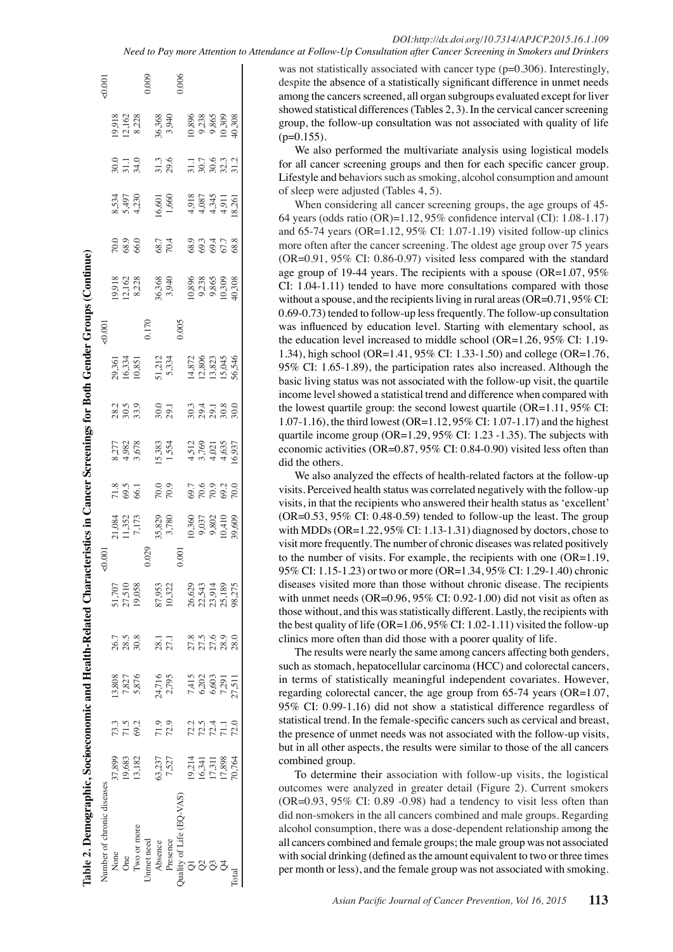was not statistically associated with cancer type (p=0.306). Interestingly, despite the absence of a statistically significant difference in unmet needs among the cancers screened, all organ subgroups evaluated except for liver showed statistical differences (Tables 2, 3). In the cervical cancer screening group, the follow-up consultation was not associated with quality of life  $(p=0.155)$ .

We also performed the multivariate analysis using logistical models for all cancer screening groups and then for each specific cancer group. Lifestyle and behaviors such as smoking, alcohol consumption and amount of sleep were adjusted (Tables 4, 5).

When considering all cancer screening groups, the age groups of 45- 64 years (odds ratio (OR)=1.12, 95% confidence interval (CI): 1.08-1.17) and 65-74 years (OR=1.12, 95% CI: 1.07-1.19) visited follow-up clinics more often after the cancer screening. The oldest age group over 75 years (OR=0.91, 95% CI: 0.86-0.97) visited less compared with the standard age group of 19-44 years. The recipients with a spouse (OR=1.07, 95% CI: 1.04-1.11) tended to have more consultations compared with those without a spouse, and the recipients living in rural areas (OR=0.71, 95% CI: 0.69-0.73) tended to follow-up less frequently. The follow-up consultation was influenced by education level. Starting with elementary school, as the education level increased to middle school (OR=1.26, 95% CI: 1.19- 1.34), high school (OR=1.41, 95% CI: 1.33-1.50) and college (OR=1.76, 95% CI: 1.65-1.89), the participation rates also increased. Although the basic living status was not associated with the follow-up visit, the quartile income level showed a statistical trend and difference when compared with the lowest quartile group: the second lowest quartile  $(OR=1.11, 95\% \text{ CI:})$ 1.07-1.16), the third lowest (OR=1.12, 95% CI: 1.07-1.17) and the highest quartile income group (OR=1.29, 95% CI: 1.23 -1.35). The subjects with economic activities (OR=0.87, 95% CI: 0.84-0.90) visited less often than did the others.

We also analyzed the effects of health-related factors at the follow-up visits. Perceived health status was correlated negatively with the follow-up visits, in that the recipients who answered their health status as 'excellent'  $(OR=0.53, 95\% \text{ CI: } 0.48-0.59)$  tended to follow-up the least. The group with MDDs (OR=1.22, 95% CI: 1.13-1.31) diagnosed by doctors, chose to visit more frequently. The number of chronic diseases was related positively to the number of visits. For example, the recipients with one (OR=1.19, 95% CI: 1.15-1.23) or two or more (OR=1.34, 95% CI: 1.29-1.40) chronic diseases visited more than those without chronic disease. The recipients with unmet needs (OR=0.96, 95% CI: 0.92-1.00) did not visit as often as those without, and this was statistically different. Lastly, the recipients with the best quality of life (OR=1.06,  $95\%$  CI: 1.02-1.11) visited the follow-up clinics more often than did those with a poorer quality of life.

The results were nearly the same among cancers affecting both genders, such as stomach, hepatocellular carcinoma (HCC) and colorectal cancers, in terms of statistically meaningful independent covariates. However, regarding colorectal cancer, the age group from 65-74 years (OR=1.07, 95% CI: 0.99-1.16) did not show a statistical difference regardless of statistical trend. In the female-specific cancers such as cervical and breast, the presence of unmet needs was not associated with the follow-up visits, but in all other aspects, the results were similar to those of the all cancers combined group.

To determine their association with follow-up visits, the logistical outcomes were analyzed in greater detail (Figure 2). Current smokers  $(OR=0.93, 95\% \text{ CI: } 0.89 - 0.98)$  had a tendency to visit less often than did non-smokers in the all cancers combined and male groups. Regarding alcohol consumption, there was a dose-dependent relationship among the all cancers combined and female groups; the male group was not associated with social drinking (defined as the amount equivalent to two or three times per month or less), and the female group was not associated with smoking.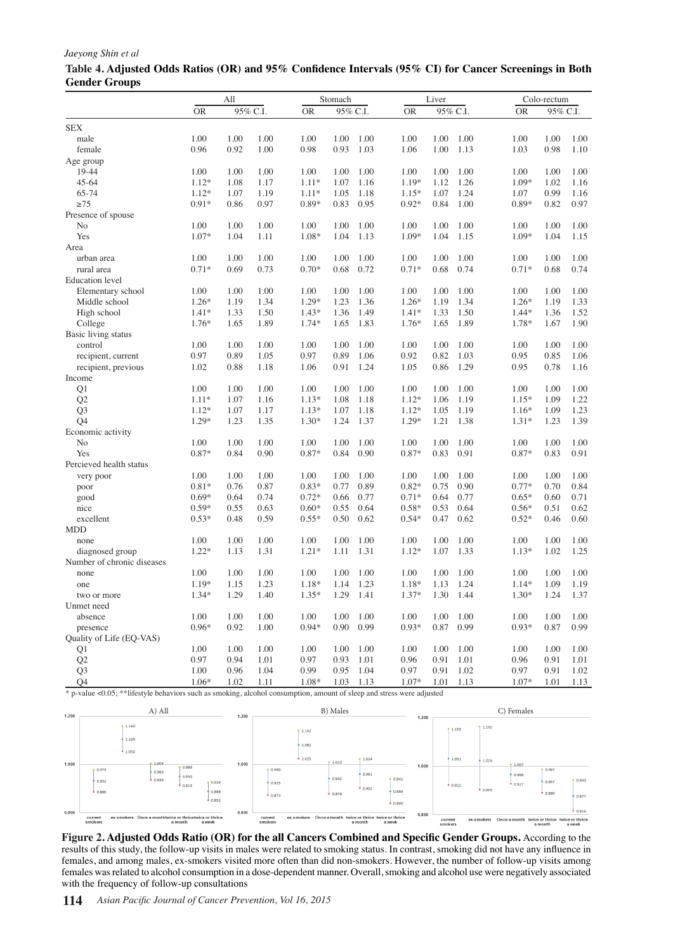#### *Jaeyong Shin et al*

|                                | All     |      |          |           | Stomach  |              |           | Liver |              |              | Colo-rectum  |              |  |  |
|--------------------------------|---------|------|----------|-----------|----------|--------------|-----------|-------|--------------|--------------|--------------|--------------|--|--|
|                                | OR      |      | 95% C.I. | <b>OR</b> | 95% C.I. |              | <b>OR</b> |       | 95% C.I.     | <b>OR</b>    | 95% C.I.     |              |  |  |
| <b>SEX</b>                     |         |      |          |           |          |              |           |       |              |              |              |              |  |  |
| male                           | 1.00    | 1.00 | 1.00     | 1.00      | 1.00     | 1.00         | 1.00      | 1.00  | 1.00         | 1.00         | 1.00         | 1.00         |  |  |
| female                         | 0.96    | 0.92 | 1.00     | 0.98      | 0.93     | 1.03         | 1.06      | 1.00  | 1.13         | 1.03         | 0.98         | 1.10         |  |  |
| Age group                      |         |      |          |           |          |              |           |       |              |              |              |              |  |  |
| 19-44                          | 1.00    | 1.00 | 1.00     | 1.00      | 1.00     | 1.00         | 1.00      | 1.00  | 1.00         | 1.00         | 1.00         | 1.00         |  |  |
| $45 - 64$                      | $1.12*$ | 1.08 | 1.17     | $1.11*$   | 1.07     | 1.16         | 1.19*     | 1.12  | 1.26         | 1.09*        | 1.02         | 1.16         |  |  |
| 65-74                          | $1.12*$ | 1.07 | 1.19     | $1.11*$   | 1.05     | 1.18         | $1.15*$   | 1.07  | 1.24         | 1.07         | 0.99         | 1.16         |  |  |
| $\geq 75$                      | $0.91*$ | 0.86 | 0.97     | $0.89*$   | 0.83     | 0.95         | $0.92*$   | 0.84  | 1.00         | 0.89*        | 0.82         | 0.97         |  |  |
| Presence of spouse             |         |      |          |           |          |              |           |       |              |              |              |              |  |  |
| No                             | 1.00    | 1.00 | 1.00     | 1.00      | 1.00     | 1.00         | 1.00      | 1.00  | 1.00         | 1.00         | 1.00         | 1.00         |  |  |
| Yes                            | $1.07*$ | 1.04 | 1.11     | 1.08*     | 1.04     | 1.13         | 1.09*     | 1.04  | 1.15         | 1.09*        | 1.04         | 1.15         |  |  |
| Area                           |         |      |          |           |          |              |           |       |              |              |              |              |  |  |
| urban area                     | 1.00    | 1.00 | 1.00     | 1.00      | 1.00     | 1.00         | 1.00      | 1.00  | 1.00         | 1.00         | 1.00         | 1.00         |  |  |
| rural area                     | $0.71*$ | 0.69 | 0.73     | $0.70*$   | 0.68     | 0.72         | $0.71*$   | 0.68  | 0.74         | $0.71*$      | 0.68         | 0.74         |  |  |
| <b>Education</b> level         |         |      |          |           |          |              |           |       |              |              |              |              |  |  |
| Elementary school              | 1.00    | 1.00 | 1.00     | 1.00      | 1.00     | 1.00         | 1.00      | 1.00  | 1.00         | 1.00         | 1.00         | 1.00         |  |  |
| Middle school                  | $1.26*$ | 1.19 | 1.34     | 1.29*     | 1.23     | 1.36         | $1.26*$   | 1.19  | 1.34         | $1.26*$      | 1.19         | 1.33         |  |  |
| High school                    | $1.41*$ | 1.33 | 1.50     | $1.43*$   | 1.36     | 1.49         | $1.41*$   | 1.33  | 1.50         | $1.44*$      | 1.36         | 1.52         |  |  |
|                                | $1.76*$ | 1.65 | 1.89     | 1.74*     | 1.65     | 1.83         | 1.76*     | 1.65  | 1.89         | 1.78*        | 1.67         | 1.90         |  |  |
| College<br>Basic living status |         |      |          |           |          |              |           |       |              |              |              |              |  |  |
|                                | 1.00    | 1.00 | 1.00     | 1.00      | 1.00     | 1.00         | 1.00      | 1.00  |              |              |              | 1.00         |  |  |
| control                        | 0.97    | 0.89 | 1.05     | 0.97      | 0.89     | 1.06         | 0.92      | 0.82  | 1.00<br>1.03 | 1.00<br>0.95 | 1.00<br>0.85 | 1.06         |  |  |
| recipient, current             |         |      |          |           |          |              |           |       |              |              |              |              |  |  |
| recipient, previous            | 1.02    | 0.88 | 1.18     | 1.06      | 0.91     | 1.24         | 1.05      | 0.86  | 1.29         | 0.95         | 0.78         | 1.16         |  |  |
| Income                         |         |      |          |           |          |              |           |       |              |              |              |              |  |  |
| Q1                             | 1.00    | 1.00 | 1.00     | 1.00      | 1.00     | 1.00<br>1.18 | 1.00      | 1.00  | 1.00<br>1.19 | 1.00         | 1.00<br>1.09 | 1.00<br>1.22 |  |  |
| Q2                             | $1.11*$ | 1.07 | 1.16     | $1.13*$   | 1.08     |              | $1.12*$   | 1.06  |              | $1.15*$      |              |              |  |  |
| Q <sub>3</sub>                 | $1.12*$ | 1.07 | 1.17     | $1.13*$   | 1.07     | 1.18         | $1.12*$   | 1.05  | 1.19         | 1.16*        | 1.09         | 1.23         |  |  |
| Q4                             | 1.29*   | 1.23 | 1.35     | $1.30*$   | 1.24     | 1.37         | 1.29*     | 1.21  | 1.38         | $1.31*$      | 1.23         | 1.39         |  |  |
| Economic activity              |         |      |          |           |          |              |           |       |              |              |              |              |  |  |
| No                             | 1.00    | 1.00 | 1.00     | 1.00      | 1.00     | 1.00         | 1.00      | 1.00  | 1.00         | 1.00         | 1.00         | 1.00         |  |  |
| Yes                            | 0.87*   | 0.84 | 0.90     | $0.87*$   | 0.84     | 0.90         | 0.87*     | 0.83  | 0.91         | 0.87*        | 0.83         | 0.91         |  |  |
| Percieved health status        |         |      |          |           |          |              |           |       |              |              |              |              |  |  |
| very poor                      | 1.00    | 1.00 | 1.00     | 1.00      | 1.00     | 1.00         | 1.00      | 1.00  | 1.00         | 1.00         | 1.00         | 1.00         |  |  |
| poor                           | $0.81*$ | 0.76 | 0.87     | $0.83*$   | 0.77     | 0.89         | $0.82*$   | 0.75  | 0.90         | $0.77*$      | 0.70         | 0.84         |  |  |
| good                           | $0.69*$ | 0.64 | 0.74     | $0.72*$   | 0.66     | 0.77         | $0.71*$   | 0.64  | 0.77         | $0.65*$      | 0.60         | 0.71         |  |  |
| nice                           | $0.59*$ | 0.55 | 0.63     | $0.60*$   | 0.55     | 0.64         | $0.58*$   | 0.53  | 0.64         | $0.56*$      | 0.51         | 0.62         |  |  |
| excellent                      | $0.53*$ | 0.48 | 0.59     | $0.55*$   | 0.50     | 0.62         | $0.54*$   | 0.47  | 0.62         | $0.52*$      | 0.46         | 0.60         |  |  |
| <b>MDD</b>                     |         |      |          |           |          |              |           |       |              |              |              |              |  |  |
| none                           | 1.00    | 1.00 | 1.00     | 1.00      | 1.00     | 1.00         | 1.00      | 1.00  | 1.00         | 1.00         | 1.00         | 1.00         |  |  |
| diagnosed group                | $1.22*$ | 1.13 | 1.31     | $1.21*$   | 1.11     | 1.31         | $1.12*$   | 1.07  | 1.33         | $1.13*$      | 1.02         | 1.25         |  |  |
| Number of chronic diseases     |         |      |          |           |          |              |           |       |              |              |              |              |  |  |
| none                           | 1.00    | 1.00 | 1.00     | 1.00      | 1.00     | 1.00         | 1.00      | 1.00  | 1.00         | 1.00         | 1.00         | 1.00         |  |  |
| one                            | 1.19*   | 1.15 | 1.23     | 1.18*     | 1.14     | 1.23         | 1.18*     | 1.13  | 1.24         | $1.14*$      | 1.09         | 1.19         |  |  |
| two or more                    | 1.34*   | 1.29 | 1.40     | $1.35*$   | 1.29     | 1.41         | 1.37*     | 1.30  | 1.44         | $1.30*$      | 1.24         | 1.37         |  |  |
| Unmet need                     |         |      |          |           |          |              |           |       |              |              |              |              |  |  |
| absence                        | 1.00    | 1.00 | 1.00     | 1.00      | 1.00     | 1.00         | 1.00      | 1.00  | 1.00         | 1.00         | 1.00         | 1.00         |  |  |
| presence                       | $0.96*$ | 0.92 | 1.00     | $0.94*$   | 0.90     | 0.99         | $0.93*$   | 0.87  | 0.99         | $0.93*$      | 0.87         | 0.99         |  |  |
| Quality of Life (EQ-VAS)       |         |      |          |           |          |              |           |       |              |              |              |              |  |  |
| Q1                             | 1.00    | 1.00 | 1.00     | 1.00      | 1.00     | 1.00         | 1.00      | 1.00  | 1.00         | 1.00         | 1.00         | 1.00         |  |  |
| Q <sub>2</sub>                 | 0.97    | 0.94 | 1.01     | 0.97      | 0.93     | 1.01         | 0.96      | 0.91  | 1.01         | 0.96         | 0.91         | 1.01         |  |  |
| Q <sub>3</sub>                 | 1.00    | 0.96 | 1.04     | 0.99      | 0.95     | 1.04         | 0.97      | 0.91  | 1.02         | 0.97         | 0.91         | 1.02         |  |  |
| Q4                             | $1.06*$ | 1.02 | 1.11     | 1.08*     | 1.03     | 1.13         | 1.07*     | 1.01  | 1.13         | $1.07*$      | 1.01         | 1.13         |  |  |

### **Table 4. Adjusted Odds Ratios (OR) and 95% Confidence Intervals (95% CI) for Cancer Screenings in Both Gender Groups**

\* p-value <0.05; \*\*lifestyle behaviors such as smoking, alcohol consumption, amount of sleep and stress were adjusted



**Figure 2. Adjusted Odds Ratio (OR) for the all Cancers Combined and Specific Gender Groups.** According to the results of this study, the follow-up visits in males were related to smoking status. In contrast, smoking did not have any influence in females, and among males, ex-smokers visited more often than did non-smokers. However, the number of follow-up visits among females was related to alcohol consumption in a dose-dependent manner. Overall, smoking and alcohol use were negatively associated with the frequency of follow-up consultations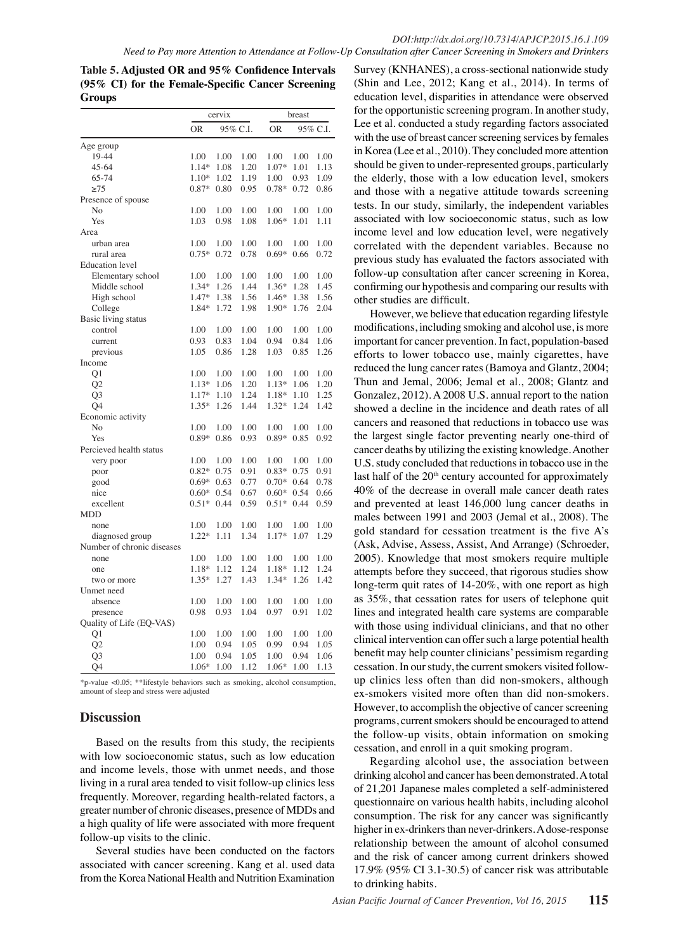**Table 5. Adjusted OR and 95% Confidence Intervals (95% CI) for the Female-Specific Cancer Screening Groups**

|                            |           | cervix |          |           | breast |          |
|----------------------------|-----------|--------|----------|-----------|--------|----------|
|                            | <b>OR</b> |        | 95% C.I. | <b>OR</b> |        | 95% C.I. |
| Age group                  |           |        |          |           |        |          |
| 19-44                      | 1.00      | 1.00   | 1.00     | 1.00      | 1.00   | 1.00     |
| $45 - 64$                  | $1.14*$   | 1.08   | 1.20     | $1.07*$   | 1.01   | 1.13     |
| 65-74                      | $1.10*$   | 1.02   | 1.19     | 1.00      | 0.93   | 1.09     |
| $\geq$ 75                  | 0.87*     | 0.80   | 0.95     | 0.78*     | 0.72   | 0.86     |
| Presence of spouse         |           |        |          |           |        |          |
| No                         | 1.00      | 1.00   | 1.00     | 1.00      | 1.00   | 1.00     |
| Yes                        | 1.03      | 0.98   | 1.08     | $1.06*$   | 1.01   | 1.11     |
| Area                       |           |        |          |           |        |          |
| urban area                 | 1.00      | 1.00   | 1.00     | 1.00      | 1.00   | 1.00     |
| rural area                 | $0.75*$   | 0.72   | 0.78     | $0.69*$   | 0.66   | 0.72     |
| <b>Education</b> level     |           |        |          |           |        |          |
| Elementary school          | 1.00      | 1.00   | 1.00     | 1.00      | 1.00   | 1.00     |
| Middle school              | 1.34*     | 1.26   | 1.44     | 1.36*     | 1.28   | 1.45     |
| High school                | 1.47*     | 1.38   | 1.56     | 1.46*     | 1.38   | 1.56     |
| College                    | 1.84*     | 1.72   | 1.98     | $1.90*$   | 1.76   | 2.04     |
| Basic living status        |           |        |          |           |        |          |
| control                    | 1.00      | 1.00   | 1.00     | 1.00      | 1.00   | 1.00     |
| current                    | 0.93      | 0.83   | 1.04     | 0.94      | 0.84   | 1.06     |
| previous                   | 1.05      | 0.86   | 1.28     | 1.03      | 0.85   | 1.26     |
| Income                     |           |        |          |           |        |          |
| Q <sub>1</sub>             | 1.00      | 1.00   | 1.00     | 1.00      | 1.00   | 1.00     |
| Q2                         | $1.13*$   | 1.06   | 1.20     | 1.13*     | 1.06   | 1.20     |
| O3                         | $1.17*$   | 1.10   | 1.24     | $1.18*$   | 1.10   | 1.25     |
| Q <sub>4</sub>             | 1.35*     | 1.26   | 1.44     | $1.32*$   | 1.24   | 1.42     |
| Economic activity          |           |        |          |           |        |          |
| No                         | 1.00      | 1.00   | 1.00     | 1.00      | 1.00   | 1.00     |
| Yes                        | $0.89*$   | 0.86   | 0.93     | $0.89*$   | 0.85   | 0.92     |
| Percieved health status    |           |        |          |           |        |          |
| very poor                  | 1.00      | 1.00   | 1.00     | 1.00      | 1.00   | 1.00     |
| poor                       | $0.82*$   | 0.75   | 0.91     | $0.83*$   | 0.75   | 0.91     |
| good                       | $0.69*$   | 0.63   | 0.77     | $0.70*$   | 0.64   | 0.78     |
| nice                       | $0.60*$   | 0.54   | 0.67     | $0.60*$   | 0.54   | 0.66     |
| excellent                  | $0.51*$   | 0.44   | 0.59     | $0.51*$   | 0.44   | 0.59     |
| <b>MDD</b>                 |           |        |          |           |        |          |
| none                       | 1.00      | 1.00   | 1.00     | 1.00      | 1.00   | 1.00     |
| diagnosed group            | $1.22*$   | 1.11   | 1.34     | $1.17*$   | 1.07   | 1.29     |
| Number of chronic diseases |           |        |          |           |        |          |
| none                       | 1.00      | 1.00   | 1.00     | 1.00      | 1.00   | 1.00     |
| one                        | 1.18*     | 1.12   | 1.24     | 1.18*     | 1.12   | 1.24     |
| two or more                | $1.35*$   | 1.27   | 1.43     | $1.34*$   | 1.26   | 1.42     |
| Unmet need                 |           |        |          |           |        |          |
| absence                    | 1.00      | 1.00   | 1.00     | 1.00      | 1.00   | 1.00     |
| presence                   | 0.98      | 0.93   | 1.04     | 0.97      | 0.91   | 1.02     |
| Quality of Life (EQ-VAS)   |           |        |          |           |        |          |
| Q1                         | 1.00      | 1.00   | 1.00     | 1.00      | 1.00   | 1.00     |
| Q <sub>2</sub>             | 1.00      | 0.94   | 1.05     | 0.99      | 0.94   | 1.05     |
| Q <sub>3</sub>             | 1.00      | 0.94   | 1.05     | 1.00      | 0.94   | 1.06     |
| Q4                         | 1.06*     | 1.00   | 1.12     | $1.06*$   | 1.00   | 1.13     |

\*p-value <0.05; \*\*lifestyle behaviors such as smoking, alcohol consumption, amount of sleep and stress were adjusted

# **Discussion**

Based on the results from this study, the recipients with low socioeconomic status, such as low education and income levels, those with unmet needs, and those living in a rural area tended to visit follow-up clinics less frequently. Moreover, regarding health-related factors, a greater number of chronic diseases, presence of MDDs and a high quality of life were associated with more frequent follow-up visits to the clinic.

Several studies have been conducted on the factors associated with cancer screening. Kang et al. used data from the Korea National Health and Nutrition Examination

Survey (KNHANES), a cross-sectional nationwide study (Shin and Lee, 2012; Kang et al., 2014). In terms of education level, disparities in attendance were observed for the opportunistic screening program. In another study, Lee et al. conducted a study regarding factors associated with the use of breast cancer screening services by females in Korea (Lee et al., 2010). They concluded more attention should be given to under-represented groups, particularly the elderly, those with a low education level, smokers and those with a negative attitude towards screening tests. In our study, similarly, the independent variables associated with low socioeconomic status, such as low income level and low education level, were negatively correlated with the dependent variables. Because no previous study has evaluated the factors associated with follow-up consultation after cancer screening in Korea, confirming our hypothesis and comparing our results with other studies are difficult.

However, we believe that education regarding lifestyle modifications, including smoking and alcohol use, is more important for cancer prevention. In fact, population-based efforts to lower tobacco use, mainly cigarettes, have reduced the lung cancer rates (Bamoya and Glantz, 2004; Thun and Jemal, 2006; Jemal et al., 2008; Glantz and Gonzalez, 2012). A 2008 U.S. annual report to the nation showed a decline in the incidence and death rates of all cancers and reasoned that reductions in tobacco use was the largest single factor preventing nearly one-third of cancer deaths by utilizing the existing knowledge. Another U.S. study concluded that reductions in tobacco use in the last half of the  $20<sup>th</sup>$  century accounted for approximately 40% of the decrease in overall male cancer death rates and prevented at least 146,000 lung cancer deaths in males between 1991 and 2003 (Jemal et al., 2008). The gold standard for cessation treatment is the five A's (Ask, Advise, Assess, Assist, And Arrange) (Schroeder, 2005). Knowledge that most smokers require multiple attempts before they succeed, that rigorous studies show long-term quit rates of 14-20%, with one report as high as 35%, that cessation rates for users of telephone quit lines and integrated health care systems are comparable with those using individual clinicians, and that no other clinical intervention can offer such a large potential health benefit may help counter clinicians' pessimism regarding cessation. In our study, the current smokers visited followup clinics less often than did non-smokers, although ex-smokers visited more often than did non-smokers. However, to accomplish the objective of cancer screening programs, current smokers should be encouraged to attend the follow-up visits, obtain information on smoking cessation, and enroll in a quit smoking program.

Regarding alcohol use, the association between drinking alcohol and cancer has been demonstrated. A total of 21,201 Japanese males completed a self-administered questionnaire on various health habits, including alcohol consumption. The risk for any cancer was significantly higher in ex-drinkers than never-drinkers. A dose-response relationship between the amount of alcohol consumed and the risk of cancer among current drinkers showed 17.9% (95% CI 3.1-30.5) of cancer risk was attributable to drinking habits.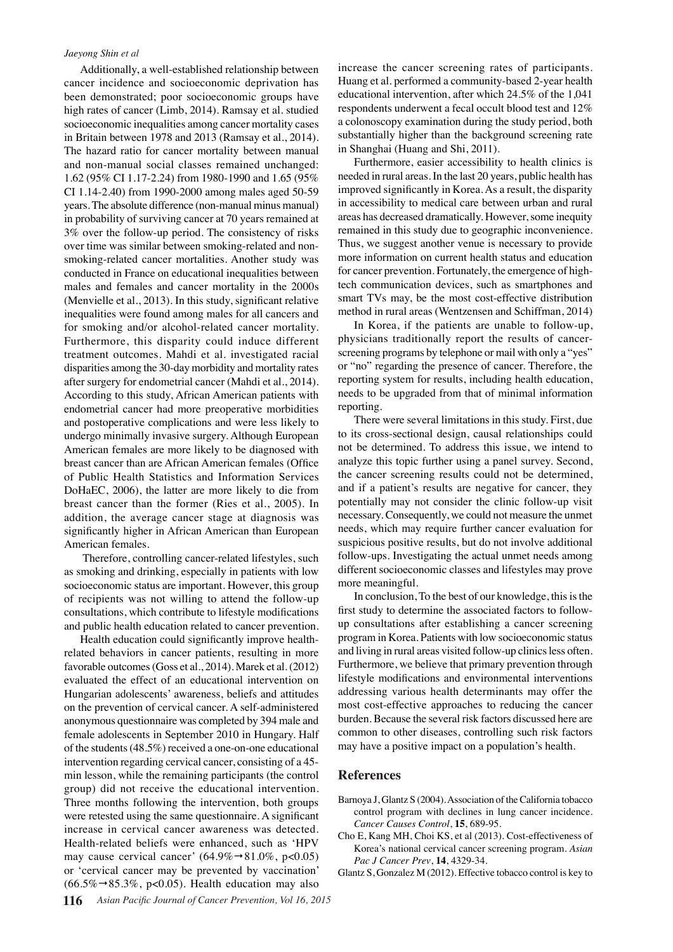#### *Jaeyong Shin et al*

Additionally, a well-established relationship between cancer incidence and socioeconomic deprivation has been demonstrated; poor socioeconomic groups have high rates of cancer (Limb, 2014). Ramsay et al. studied socioeconomic inequalities among cancer mortality cases in Britain between 1978 and 2013 (Ramsay et al., 2014). The hazard ratio for cancer mortality between manual and non-manual social classes remained unchanged: 1.62 (95% CI 1.17-2.24) from 1980-1990 and 1.65 (95% CI 1.14-2.40) from 1990-2000 among males aged 50-59 years. The absolute difference (non-manual minus manual) in probability of surviving cancer at 70 years remained at 3% over the follow-up period. The consistency of risks over time was similar between smoking-related and nonsmoking-related cancer mortalities. Another study was conducted in France on educational inequalities between males and females and cancer mortality in the 2000s (Menvielle et al., 2013). In this study, significant relative inequalities were found among males for all cancers and for smoking and/or alcohol-related cancer mortality. Furthermore, this disparity could induce different treatment outcomes. Mahdi et al. investigated racial disparities among the 30-day morbidity and mortality rates after surgery for endometrial cancer (Mahdi et al., 2014). According to this study, African American patients with endometrial cancer had more preoperative morbidities and postoperative complications and were less likely to undergo minimally invasive surgery. Although European American females are more likely to be diagnosed with breast cancer than are African American females (Office of Public Health Statistics and Information Services DoHaEC, 2006), the latter are more likely to die from breast cancer than the former (Ries et al., 2005). In addition, the average cancer stage at diagnosis was significantly higher in African American than European American females.

 Therefore, controlling cancer-related lifestyles, such as smoking and drinking, especially in patients with low socioeconomic status are important. However, this group of recipients was not willing to attend the follow-up consultations, which contribute to lifestyle modifications and public health education related to cancer prevention.

Health education could significantly improve healthrelated behaviors in cancer patients, resulting in more favorable outcomes (Goss et al., 2014). Marek et al. (2012) evaluated the effect of an educational intervention on Hungarian adolescents' awareness, beliefs and attitudes on the prevention of cervical cancer. A self-administered anonymous questionnaire was completed by 394 male and female adolescents in September 2010 in Hungary. Half of the students (48.5%) received a one-on-one educational intervention regarding cervical cancer, consisting of a 45 min lesson, while the remaining participants (the control group) did not receive the educational intervention. Three months following the intervention, both groups were retested using the same questionnaire. A significant increase in cervical cancer awareness was detected. Health-related beliefs were enhanced, such as 'HPV may cause cervical cancer' (64.9% $\rightarrow$ 81.0%, p<0.05) or 'cervical cancer may be prevented by vaccination'  $(66.5\% \rightarrow 85.3\%, p<0.05)$ . Health education may also

increase the cancer screening rates of participants. Huang et al. performed a community-based 2-year health educational intervention, after which 24.5% of the 1,041 respondents underwent a fecal occult blood test and 12% a colonoscopy examination during the study period, both substantially higher than the background screening rate in Shanghai (Huang and Shi, 2011).

Furthermore, easier accessibility to health clinics is needed in rural areas. In the last 20 years, public health has improved significantly in Korea. As a result, the disparity in accessibility to medical care between urban and rural areas has decreased dramatically. However, some inequity remained in this study due to geographic inconvenience. Thus, we suggest another venue is necessary to provide more information on current health status and education for cancer prevention. Fortunately, the emergence of hightech communication devices, such as smartphones and smart TVs may, be the most cost-effective distribution method in rural areas (Wentzensen and Schiffman, 2014)

In Korea, if the patients are unable to follow-up, physicians traditionally report the results of cancerscreening programs by telephone or mail with only a "yes" or "no" regarding the presence of cancer. Therefore, the reporting system for results, including health education, needs to be upgraded from that of minimal information reporting.

There were several limitations in this study. First, due to its cross-sectional design, causal relationships could not be determined. To address this issue, we intend to analyze this topic further using a panel survey. Second, the cancer screening results could not be determined, and if a patient's results are negative for cancer, they potentially may not consider the clinic follow-up visit necessary. Consequently, we could not measure the unmet needs, which may require further cancer evaluation for suspicious positive results, but do not involve additional follow-ups. Investigating the actual unmet needs among different socioeconomic classes and lifestyles may prove more meaningful.

In conclusion, To the best of our knowledge, this is the first study to determine the associated factors to followup consultations after establishing a cancer screening program in Korea. Patients with low socioeconomic status and living in rural areas visited follow-up clinics less often. Furthermore, we believe that primary prevention through lifestyle modifications and environmental interventions addressing various health determinants may offer the most cost-effective approaches to reducing the cancer burden. Because the several risk factors discussed here are common to other diseases, controlling such risk factors may have a positive impact on a population's health.

#### **References**

- Barnoya J, Glantz S (2004). Association of the California tobacco control program with declines in lung cancer incidence. *Cancer Causes Control*, **15**, 689-95.
- Cho E, Kang MH, Choi KS, et al (2013). Cost-effectiveness of Korea's national cervical cancer screening program. *Asian Pac J Cancer Prev*, **14**, 4329-34.
- Glantz S, Gonzalez M (2012). Effective tobacco control is key to